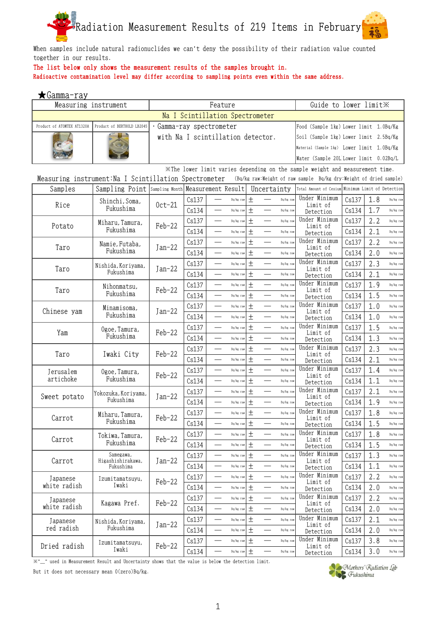

When samples include natural radionuclides we can't deny the possibility of their radiation value counted together in our results.

## The list below only shows the measurement results of the samples brought in.

Radioactive contamination level may differ according to sampling points even within the same address.

| Feature<br>Guide to lower limit X<br>Measuring instrument<br>Na I Scintillation Spectrometer<br>Product of ATOMTEX AT1320A<br>Product of BERTHOLD LB2045<br>Gamma-ray spectrometer<br>Food (Sample 1kg) Lower limit 1.0Bq/Kg<br>with Na I scintillation detector.<br>Soil (Sample 1kg) Lower limit 2.5Bq/Kg<br>Material (Sample 1kg) Lower limit 1.0Bq/Kg<br>Water (Sample 20L Lower limit 0.02Bq/L<br>XThe lower limit varies depending on the sample weight and measurement time.<br>Measuring instrument: Na I Scintillation Spectrometer<br>(Bq/kg raw:Weight of raw sample Bq/kg dry:Weight of dried sample)<br>Samples<br>Sampling Point Sampling Month Measurement Result<br>Uncertainty<br>Total Amount of Cesium Minimum Limit of Detection<br>Under Minimum<br>$\pm$<br>1.8<br>Cs137<br>Cs137<br>Bq/kg raw<br>Bq/kg raw<br>Bq/kg raw<br>Shinchi, Soma,<br>Rice<br>$0ct-21$<br>Limit of<br>Fukushima<br>土<br>1.7<br>Cs134<br>Cs134<br>Bq/kg raw<br>Bq/kg raw<br>Bq/kg raw<br>Detection<br>Under Minimum<br>$\pm$<br>2.2<br>Cs137<br>Cs137<br>$\overline{\phantom{0}}$<br>$\overbrace{\phantom{aaaaa}}^{}$<br>Bq/kg raw<br>Bq/kg raw<br>Bq/kg raw<br>Miharu, Tamura,<br>$Feb-22$<br>Potato<br>Limit of<br>Fukushima<br>$\pm$<br>2.1<br>Cs134<br>Cs134<br>Bq/kg raw<br>Bq/kg raw<br>Bq/kg raw<br>Detection<br>Under Minimum<br>$\pm$<br>2.2<br>Cs137<br>Cs137<br>$\overline{\phantom{a}}$<br>Bq/kg raw<br>Bq/kg raw<br>Bq/kg raw<br>Namie, Futaba,<br>Taro<br>$Jan-22$<br>Limit of<br>Fukushima<br>土<br>Cs134<br>2.0<br>Cs134<br>Bq/kg raw<br>Bq/kg raw<br>Bq/kg raw<br>Detection<br>Under Minimum<br>$\pm$<br>2.3<br>Cs137<br>Cs137<br>Bq/kg raw<br>Bq/kg raw<br>Bq/kg raw<br>Nishida, Koriyama,<br>Taro<br>Jan-22<br>Limit of<br>Fukushima<br>$\pm$<br>Cs134<br>Cs134<br>2.1<br>Bq/kg raw<br>Bq/kg raw<br>Bq/kg raw<br>Detection<br>Under Minimum<br>$\pm$<br>Cs137<br>1.9<br>Cs137<br>Bq/kg raw<br>Bq/kg raw<br>Bq/kg raw<br>Nihonmatsu,<br>$Feb-22$<br>Taro<br>Limit of<br>Fukushima<br>$\pm$<br>1.5<br>Cs134<br>Cs134<br>Bq/kg raw<br>Bq/kg raw<br>Bq/kg raw<br>Detection<br>Under Minimum<br>$\pm$<br>1.0<br>Cs137<br>Cs137<br>Bq/kg raw<br>Bq/kg raw<br>Bq/kg raw<br>Minamisoma,<br>Chinese yam<br>Jan-22<br>Limit of<br>Fukushima<br>Cs134<br>土<br>Cs134<br>1.0<br>Bq/kg raw<br>Bq/kg raw<br>Bq/kg raw<br>Detection<br>Under Minimum<br>$\pm$<br>1.5<br>Cs137<br>Cs137<br>Bq/kg raw<br>Bq/kg raw<br>Bq/kg raw<br>Ogoe, Tamura,<br>Yam<br>$Feb-22$<br>Limit of<br>Fukushima<br>$\pm$<br>Cs134<br>Cs134<br>1.3<br>Bq/kg raw<br>Bq/kg raw<br>Bq/kg raw<br>Detection<br>Under Minimum<br>$\pm$<br>2.3<br>Cs137<br>Cs137<br>$\overline{\phantom{0}}$<br>Bq/kg raw<br>Bq/kg raw<br>Bq/kg raw<br>Feb-22<br>Taro<br>Iwaki City<br>Limit of<br>$^{+}$<br>Cs134<br>2.1<br>Cs134<br>Bq/kg raw<br>Bq/kg raw<br>Bq/kg raw<br>Detection<br>Under Minimum<br>$\pm$<br>Cs137<br>1.4<br>Cs137<br>Bq/kg raw<br>Bq/kg raw<br>Bq/kg raw<br>Jerusalem<br>Ogoe, Tamura,<br>$Feb-22$<br>Limit of<br>Fukushima<br>artichoke<br>土<br>1.1<br>Cs134<br>Cs134<br>Bq/kg raw<br>Bq/kg raw<br>Bq/kg raw<br>Detection<br>Under Minimum<br>Cs137<br>2.1<br>Cs137<br>土<br>Bq/kg raw<br>Bq/kg raw<br>Bq/kg raw<br>Yokozuka, Koriyama,<br>Sweet potato<br>$Jan-22$<br>Limit of<br>Fukushima<br>$\pm$<br>Cs134<br>1.9<br>Cs134<br>Bq/kg raw<br>Bq/kg raw<br>Bq/kg raw<br>Detection<br>Under Minimum<br>$\pm$<br>Cs137<br>1.8<br>Cs137<br>Bq/kg raw<br>Bq/kg raw<br>Bq/kg raw<br>Miharu, Tamura,<br>Feb-22<br>Carrot<br>Limit of<br>Fukushima<br>1.5<br>Cs134<br>土<br>Cs134<br>Bq/kg raw<br>Bq/kg raw<br>Bq/kg raw<br>Detection<br>Under Minimum<br>Cs137<br>$\pm$<br>Cs137<br>1.8<br>Bq/kg raw<br>Bq/kg raw<br>Bq/kg raw<br>Tokiwa, Tamura,<br>Carrot<br>$Feb-22$<br>Limit of<br>Fukushima<br>Cs134<br>$\pm$<br>1.5<br>Cs134<br>Bq/kg raw<br>Bq/kg raw<br>Bq/kg raw<br>Detection<br>Under Minimum | ★Gamma <u>-ray</u> |           |  |       |  |           |   |  |           |       |     |           |
|-----------------------------------------------------------------------------------------------------------------------------------------------------------------------------------------------------------------------------------------------------------------------------------------------------------------------------------------------------------------------------------------------------------------------------------------------------------------------------------------------------------------------------------------------------------------------------------------------------------------------------------------------------------------------------------------------------------------------------------------------------------------------------------------------------------------------------------------------------------------------------------------------------------------------------------------------------------------------------------------------------------------------------------------------------------------------------------------------------------------------------------------------------------------------------------------------------------------------------------------------------------------------------------------------------------------------------------------------------------------------------------------------------------------------------------------------------------------------------------------------------------------------------------------------------------------------------------------------------------------------------------------------------------------------------------------------------------------------------------------------------------------------------------------------------------------------------------------------------------------------------------------------------------------------------------------------------------------------------------------------------------------------------------------------------------------------------------------------------------------------------------------------------------------------------------------------------------------------------------------------------------------------------------------------------------------------------------------------------------------------------------------------------------------------------------------------------------------------------------------------------------------------------------------------------------------------------------------------------------------------------------------------------------------------------------------------------------------------------------------------------------------------------------------------------------------------------------------------------------------------------------------------------------------------------------------------------------------------------------------------------------------------------------------------------------------------------------------------------------------------------------------------------------------------------------------------------------------------------------------------------------------------------------------------------------------------------------------------------------------------------------------------------------------------------------------------------------------------------------------------------------------------------------------------------------------------------------------------------------------------------------------------------------------------------------------------------------------------------------------------------------------------------------------------------------------------------------------------------------------------------|--------------------|-----------|--|-------|--|-----------|---|--|-----------|-------|-----|-----------|
|                                                                                                                                                                                                                                                                                                                                                                                                                                                                                                                                                                                                                                                                                                                                                                                                                                                                                                                                                                                                                                                                                                                                                                                                                                                                                                                                                                                                                                                                                                                                                                                                                                                                                                                                                                                                                                                                                                                                                                                                                                                                                                                                                                                                                                                                                                                                                                                                                                                                                                                                                                                                                                                                                                                                                                                                                                                                                                                                                                                                                                                                                                                                                                                                                                                                                                                                                                                                                                                                                                                                                                                                                                                                                                                                                                                                                                                                             |                    |           |  |       |  |           |   |  |           |       |     |           |
|                                                                                                                                                                                                                                                                                                                                                                                                                                                                                                                                                                                                                                                                                                                                                                                                                                                                                                                                                                                                                                                                                                                                                                                                                                                                                                                                                                                                                                                                                                                                                                                                                                                                                                                                                                                                                                                                                                                                                                                                                                                                                                                                                                                                                                                                                                                                                                                                                                                                                                                                                                                                                                                                                                                                                                                                                                                                                                                                                                                                                                                                                                                                                                                                                                                                                                                                                                                                                                                                                                                                                                                                                                                                                                                                                                                                                                                                             |                    |           |  |       |  |           |   |  |           |       |     |           |
|                                                                                                                                                                                                                                                                                                                                                                                                                                                                                                                                                                                                                                                                                                                                                                                                                                                                                                                                                                                                                                                                                                                                                                                                                                                                                                                                                                                                                                                                                                                                                                                                                                                                                                                                                                                                                                                                                                                                                                                                                                                                                                                                                                                                                                                                                                                                                                                                                                                                                                                                                                                                                                                                                                                                                                                                                                                                                                                                                                                                                                                                                                                                                                                                                                                                                                                                                                                                                                                                                                                                                                                                                                                                                                                                                                                                                                                                             |                    |           |  |       |  |           |   |  |           |       |     |           |
|                                                                                                                                                                                                                                                                                                                                                                                                                                                                                                                                                                                                                                                                                                                                                                                                                                                                                                                                                                                                                                                                                                                                                                                                                                                                                                                                                                                                                                                                                                                                                                                                                                                                                                                                                                                                                                                                                                                                                                                                                                                                                                                                                                                                                                                                                                                                                                                                                                                                                                                                                                                                                                                                                                                                                                                                                                                                                                                                                                                                                                                                                                                                                                                                                                                                                                                                                                                                                                                                                                                                                                                                                                                                                                                                                                                                                                                                             |                    |           |  |       |  |           |   |  |           |       |     |           |
|                                                                                                                                                                                                                                                                                                                                                                                                                                                                                                                                                                                                                                                                                                                                                                                                                                                                                                                                                                                                                                                                                                                                                                                                                                                                                                                                                                                                                                                                                                                                                                                                                                                                                                                                                                                                                                                                                                                                                                                                                                                                                                                                                                                                                                                                                                                                                                                                                                                                                                                                                                                                                                                                                                                                                                                                                                                                                                                                                                                                                                                                                                                                                                                                                                                                                                                                                                                                                                                                                                                                                                                                                                                                                                                                                                                                                                                                             |                    |           |  |       |  |           |   |  |           |       |     |           |
|                                                                                                                                                                                                                                                                                                                                                                                                                                                                                                                                                                                                                                                                                                                                                                                                                                                                                                                                                                                                                                                                                                                                                                                                                                                                                                                                                                                                                                                                                                                                                                                                                                                                                                                                                                                                                                                                                                                                                                                                                                                                                                                                                                                                                                                                                                                                                                                                                                                                                                                                                                                                                                                                                                                                                                                                                                                                                                                                                                                                                                                                                                                                                                                                                                                                                                                                                                                                                                                                                                                                                                                                                                                                                                                                                                                                                                                                             |                    |           |  |       |  |           |   |  |           |       |     |           |
|                                                                                                                                                                                                                                                                                                                                                                                                                                                                                                                                                                                                                                                                                                                                                                                                                                                                                                                                                                                                                                                                                                                                                                                                                                                                                                                                                                                                                                                                                                                                                                                                                                                                                                                                                                                                                                                                                                                                                                                                                                                                                                                                                                                                                                                                                                                                                                                                                                                                                                                                                                                                                                                                                                                                                                                                                                                                                                                                                                                                                                                                                                                                                                                                                                                                                                                                                                                                                                                                                                                                                                                                                                                                                                                                                                                                                                                                             |                    |           |  |       |  |           |   |  |           |       |     |           |
|                                                                                                                                                                                                                                                                                                                                                                                                                                                                                                                                                                                                                                                                                                                                                                                                                                                                                                                                                                                                                                                                                                                                                                                                                                                                                                                                                                                                                                                                                                                                                                                                                                                                                                                                                                                                                                                                                                                                                                                                                                                                                                                                                                                                                                                                                                                                                                                                                                                                                                                                                                                                                                                                                                                                                                                                                                                                                                                                                                                                                                                                                                                                                                                                                                                                                                                                                                                                                                                                                                                                                                                                                                                                                                                                                                                                                                                                             |                    |           |  |       |  |           |   |  |           |       |     |           |
|                                                                                                                                                                                                                                                                                                                                                                                                                                                                                                                                                                                                                                                                                                                                                                                                                                                                                                                                                                                                                                                                                                                                                                                                                                                                                                                                                                                                                                                                                                                                                                                                                                                                                                                                                                                                                                                                                                                                                                                                                                                                                                                                                                                                                                                                                                                                                                                                                                                                                                                                                                                                                                                                                                                                                                                                                                                                                                                                                                                                                                                                                                                                                                                                                                                                                                                                                                                                                                                                                                                                                                                                                                                                                                                                                                                                                                                                             |                    |           |  |       |  |           |   |  |           |       |     |           |
|                                                                                                                                                                                                                                                                                                                                                                                                                                                                                                                                                                                                                                                                                                                                                                                                                                                                                                                                                                                                                                                                                                                                                                                                                                                                                                                                                                                                                                                                                                                                                                                                                                                                                                                                                                                                                                                                                                                                                                                                                                                                                                                                                                                                                                                                                                                                                                                                                                                                                                                                                                                                                                                                                                                                                                                                                                                                                                                                                                                                                                                                                                                                                                                                                                                                                                                                                                                                                                                                                                                                                                                                                                                                                                                                                                                                                                                                             |                    |           |  |       |  |           |   |  |           |       |     |           |
|                                                                                                                                                                                                                                                                                                                                                                                                                                                                                                                                                                                                                                                                                                                                                                                                                                                                                                                                                                                                                                                                                                                                                                                                                                                                                                                                                                                                                                                                                                                                                                                                                                                                                                                                                                                                                                                                                                                                                                                                                                                                                                                                                                                                                                                                                                                                                                                                                                                                                                                                                                                                                                                                                                                                                                                                                                                                                                                                                                                                                                                                                                                                                                                                                                                                                                                                                                                                                                                                                                                                                                                                                                                                                                                                                                                                                                                                             |                    |           |  |       |  |           |   |  |           |       |     |           |
|                                                                                                                                                                                                                                                                                                                                                                                                                                                                                                                                                                                                                                                                                                                                                                                                                                                                                                                                                                                                                                                                                                                                                                                                                                                                                                                                                                                                                                                                                                                                                                                                                                                                                                                                                                                                                                                                                                                                                                                                                                                                                                                                                                                                                                                                                                                                                                                                                                                                                                                                                                                                                                                                                                                                                                                                                                                                                                                                                                                                                                                                                                                                                                                                                                                                                                                                                                                                                                                                                                                                                                                                                                                                                                                                                                                                                                                                             |                    |           |  |       |  |           |   |  |           |       |     |           |
|                                                                                                                                                                                                                                                                                                                                                                                                                                                                                                                                                                                                                                                                                                                                                                                                                                                                                                                                                                                                                                                                                                                                                                                                                                                                                                                                                                                                                                                                                                                                                                                                                                                                                                                                                                                                                                                                                                                                                                                                                                                                                                                                                                                                                                                                                                                                                                                                                                                                                                                                                                                                                                                                                                                                                                                                                                                                                                                                                                                                                                                                                                                                                                                                                                                                                                                                                                                                                                                                                                                                                                                                                                                                                                                                                                                                                                                                             |                    |           |  |       |  |           |   |  |           |       |     |           |
|                                                                                                                                                                                                                                                                                                                                                                                                                                                                                                                                                                                                                                                                                                                                                                                                                                                                                                                                                                                                                                                                                                                                                                                                                                                                                                                                                                                                                                                                                                                                                                                                                                                                                                                                                                                                                                                                                                                                                                                                                                                                                                                                                                                                                                                                                                                                                                                                                                                                                                                                                                                                                                                                                                                                                                                                                                                                                                                                                                                                                                                                                                                                                                                                                                                                                                                                                                                                                                                                                                                                                                                                                                                                                                                                                                                                                                                                             |                    |           |  |       |  |           |   |  |           |       |     |           |
|                                                                                                                                                                                                                                                                                                                                                                                                                                                                                                                                                                                                                                                                                                                                                                                                                                                                                                                                                                                                                                                                                                                                                                                                                                                                                                                                                                                                                                                                                                                                                                                                                                                                                                                                                                                                                                                                                                                                                                                                                                                                                                                                                                                                                                                                                                                                                                                                                                                                                                                                                                                                                                                                                                                                                                                                                                                                                                                                                                                                                                                                                                                                                                                                                                                                                                                                                                                                                                                                                                                                                                                                                                                                                                                                                                                                                                                                             |                    |           |  |       |  |           |   |  |           |       |     |           |
|                                                                                                                                                                                                                                                                                                                                                                                                                                                                                                                                                                                                                                                                                                                                                                                                                                                                                                                                                                                                                                                                                                                                                                                                                                                                                                                                                                                                                                                                                                                                                                                                                                                                                                                                                                                                                                                                                                                                                                                                                                                                                                                                                                                                                                                                                                                                                                                                                                                                                                                                                                                                                                                                                                                                                                                                                                                                                                                                                                                                                                                                                                                                                                                                                                                                                                                                                                                                                                                                                                                                                                                                                                                                                                                                                                                                                                                                             |                    |           |  |       |  |           |   |  |           |       |     |           |
|                                                                                                                                                                                                                                                                                                                                                                                                                                                                                                                                                                                                                                                                                                                                                                                                                                                                                                                                                                                                                                                                                                                                                                                                                                                                                                                                                                                                                                                                                                                                                                                                                                                                                                                                                                                                                                                                                                                                                                                                                                                                                                                                                                                                                                                                                                                                                                                                                                                                                                                                                                                                                                                                                                                                                                                                                                                                                                                                                                                                                                                                                                                                                                                                                                                                                                                                                                                                                                                                                                                                                                                                                                                                                                                                                                                                                                                                             |                    |           |  |       |  |           |   |  |           |       |     |           |
|                                                                                                                                                                                                                                                                                                                                                                                                                                                                                                                                                                                                                                                                                                                                                                                                                                                                                                                                                                                                                                                                                                                                                                                                                                                                                                                                                                                                                                                                                                                                                                                                                                                                                                                                                                                                                                                                                                                                                                                                                                                                                                                                                                                                                                                                                                                                                                                                                                                                                                                                                                                                                                                                                                                                                                                                                                                                                                                                                                                                                                                                                                                                                                                                                                                                                                                                                                                                                                                                                                                                                                                                                                                                                                                                                                                                                                                                             |                    |           |  |       |  |           |   |  |           |       |     |           |
|                                                                                                                                                                                                                                                                                                                                                                                                                                                                                                                                                                                                                                                                                                                                                                                                                                                                                                                                                                                                                                                                                                                                                                                                                                                                                                                                                                                                                                                                                                                                                                                                                                                                                                                                                                                                                                                                                                                                                                                                                                                                                                                                                                                                                                                                                                                                                                                                                                                                                                                                                                                                                                                                                                                                                                                                                                                                                                                                                                                                                                                                                                                                                                                                                                                                                                                                                                                                                                                                                                                                                                                                                                                                                                                                                                                                                                                                             |                    |           |  |       |  |           |   |  |           |       |     |           |
|                                                                                                                                                                                                                                                                                                                                                                                                                                                                                                                                                                                                                                                                                                                                                                                                                                                                                                                                                                                                                                                                                                                                                                                                                                                                                                                                                                                                                                                                                                                                                                                                                                                                                                                                                                                                                                                                                                                                                                                                                                                                                                                                                                                                                                                                                                                                                                                                                                                                                                                                                                                                                                                                                                                                                                                                                                                                                                                                                                                                                                                                                                                                                                                                                                                                                                                                                                                                                                                                                                                                                                                                                                                                                                                                                                                                                                                                             |                    |           |  |       |  |           |   |  |           |       |     |           |
|                                                                                                                                                                                                                                                                                                                                                                                                                                                                                                                                                                                                                                                                                                                                                                                                                                                                                                                                                                                                                                                                                                                                                                                                                                                                                                                                                                                                                                                                                                                                                                                                                                                                                                                                                                                                                                                                                                                                                                                                                                                                                                                                                                                                                                                                                                                                                                                                                                                                                                                                                                                                                                                                                                                                                                                                                                                                                                                                                                                                                                                                                                                                                                                                                                                                                                                                                                                                                                                                                                                                                                                                                                                                                                                                                                                                                                                                             |                    |           |  |       |  |           |   |  |           |       |     |           |
|                                                                                                                                                                                                                                                                                                                                                                                                                                                                                                                                                                                                                                                                                                                                                                                                                                                                                                                                                                                                                                                                                                                                                                                                                                                                                                                                                                                                                                                                                                                                                                                                                                                                                                                                                                                                                                                                                                                                                                                                                                                                                                                                                                                                                                                                                                                                                                                                                                                                                                                                                                                                                                                                                                                                                                                                                                                                                                                                                                                                                                                                                                                                                                                                                                                                                                                                                                                                                                                                                                                                                                                                                                                                                                                                                                                                                                                                             |                    |           |  |       |  |           |   |  |           |       |     |           |
|                                                                                                                                                                                                                                                                                                                                                                                                                                                                                                                                                                                                                                                                                                                                                                                                                                                                                                                                                                                                                                                                                                                                                                                                                                                                                                                                                                                                                                                                                                                                                                                                                                                                                                                                                                                                                                                                                                                                                                                                                                                                                                                                                                                                                                                                                                                                                                                                                                                                                                                                                                                                                                                                                                                                                                                                                                                                                                                                                                                                                                                                                                                                                                                                                                                                                                                                                                                                                                                                                                                                                                                                                                                                                                                                                                                                                                                                             |                    |           |  |       |  |           |   |  |           |       |     |           |
|                                                                                                                                                                                                                                                                                                                                                                                                                                                                                                                                                                                                                                                                                                                                                                                                                                                                                                                                                                                                                                                                                                                                                                                                                                                                                                                                                                                                                                                                                                                                                                                                                                                                                                                                                                                                                                                                                                                                                                                                                                                                                                                                                                                                                                                                                                                                                                                                                                                                                                                                                                                                                                                                                                                                                                                                                                                                                                                                                                                                                                                                                                                                                                                                                                                                                                                                                                                                                                                                                                                                                                                                                                                                                                                                                                                                                                                                             |                    |           |  |       |  |           |   |  |           |       |     |           |
|                                                                                                                                                                                                                                                                                                                                                                                                                                                                                                                                                                                                                                                                                                                                                                                                                                                                                                                                                                                                                                                                                                                                                                                                                                                                                                                                                                                                                                                                                                                                                                                                                                                                                                                                                                                                                                                                                                                                                                                                                                                                                                                                                                                                                                                                                                                                                                                                                                                                                                                                                                                                                                                                                                                                                                                                                                                                                                                                                                                                                                                                                                                                                                                                                                                                                                                                                                                                                                                                                                                                                                                                                                                                                                                                                                                                                                                                             |                    |           |  |       |  |           |   |  |           |       |     |           |
|                                                                                                                                                                                                                                                                                                                                                                                                                                                                                                                                                                                                                                                                                                                                                                                                                                                                                                                                                                                                                                                                                                                                                                                                                                                                                                                                                                                                                                                                                                                                                                                                                                                                                                                                                                                                                                                                                                                                                                                                                                                                                                                                                                                                                                                                                                                                                                                                                                                                                                                                                                                                                                                                                                                                                                                                                                                                                                                                                                                                                                                                                                                                                                                                                                                                                                                                                                                                                                                                                                                                                                                                                                                                                                                                                                                                                                                                             |                    |           |  |       |  |           |   |  |           |       |     |           |
|                                                                                                                                                                                                                                                                                                                                                                                                                                                                                                                                                                                                                                                                                                                                                                                                                                                                                                                                                                                                                                                                                                                                                                                                                                                                                                                                                                                                                                                                                                                                                                                                                                                                                                                                                                                                                                                                                                                                                                                                                                                                                                                                                                                                                                                                                                                                                                                                                                                                                                                                                                                                                                                                                                                                                                                                                                                                                                                                                                                                                                                                                                                                                                                                                                                                                                                                                                                                                                                                                                                                                                                                                                                                                                                                                                                                                                                                             |                    |           |  |       |  |           |   |  |           |       |     |           |
|                                                                                                                                                                                                                                                                                                                                                                                                                                                                                                                                                                                                                                                                                                                                                                                                                                                                                                                                                                                                                                                                                                                                                                                                                                                                                                                                                                                                                                                                                                                                                                                                                                                                                                                                                                                                                                                                                                                                                                                                                                                                                                                                                                                                                                                                                                                                                                                                                                                                                                                                                                                                                                                                                                                                                                                                                                                                                                                                                                                                                                                                                                                                                                                                                                                                                                                                                                                                                                                                                                                                                                                                                                                                                                                                                                                                                                                                             |                    |           |  |       |  |           |   |  |           |       |     |           |
|                                                                                                                                                                                                                                                                                                                                                                                                                                                                                                                                                                                                                                                                                                                                                                                                                                                                                                                                                                                                                                                                                                                                                                                                                                                                                                                                                                                                                                                                                                                                                                                                                                                                                                                                                                                                                                                                                                                                                                                                                                                                                                                                                                                                                                                                                                                                                                                                                                                                                                                                                                                                                                                                                                                                                                                                                                                                                                                                                                                                                                                                                                                                                                                                                                                                                                                                                                                                                                                                                                                                                                                                                                                                                                                                                                                                                                                                             |                    |           |  |       |  |           |   |  |           |       |     |           |
|                                                                                                                                                                                                                                                                                                                                                                                                                                                                                                                                                                                                                                                                                                                                                                                                                                                                                                                                                                                                                                                                                                                                                                                                                                                                                                                                                                                                                                                                                                                                                                                                                                                                                                                                                                                                                                                                                                                                                                                                                                                                                                                                                                                                                                                                                                                                                                                                                                                                                                                                                                                                                                                                                                                                                                                                                                                                                                                                                                                                                                                                                                                                                                                                                                                                                                                                                                                                                                                                                                                                                                                                                                                                                                                                                                                                                                                                             |                    |           |  |       |  |           |   |  |           |       |     |           |
|                                                                                                                                                                                                                                                                                                                                                                                                                                                                                                                                                                                                                                                                                                                                                                                                                                                                                                                                                                                                                                                                                                                                                                                                                                                                                                                                                                                                                                                                                                                                                                                                                                                                                                                                                                                                                                                                                                                                                                                                                                                                                                                                                                                                                                                                                                                                                                                                                                                                                                                                                                                                                                                                                                                                                                                                                                                                                                                                                                                                                                                                                                                                                                                                                                                                                                                                                                                                                                                                                                                                                                                                                                                                                                                                                                                                                                                                             |                    |           |  |       |  |           |   |  |           |       |     |           |
|                                                                                                                                                                                                                                                                                                                                                                                                                                                                                                                                                                                                                                                                                                                                                                                                                                                                                                                                                                                                                                                                                                                                                                                                                                                                                                                                                                                                                                                                                                                                                                                                                                                                                                                                                                                                                                                                                                                                                                                                                                                                                                                                                                                                                                                                                                                                                                                                                                                                                                                                                                                                                                                                                                                                                                                                                                                                                                                                                                                                                                                                                                                                                                                                                                                                                                                                                                                                                                                                                                                                                                                                                                                                                                                                                                                                                                                                             |                    |           |  |       |  |           |   |  |           |       |     |           |
|                                                                                                                                                                                                                                                                                                                                                                                                                                                                                                                                                                                                                                                                                                                                                                                                                                                                                                                                                                                                                                                                                                                                                                                                                                                                                                                                                                                                                                                                                                                                                                                                                                                                                                                                                                                                                                                                                                                                                                                                                                                                                                                                                                                                                                                                                                                                                                                                                                                                                                                                                                                                                                                                                                                                                                                                                                                                                                                                                                                                                                                                                                                                                                                                                                                                                                                                                                                                                                                                                                                                                                                                                                                                                                                                                                                                                                                                             |                    |           |  |       |  |           |   |  |           |       |     |           |
|                                                                                                                                                                                                                                                                                                                                                                                                                                                                                                                                                                                                                                                                                                                                                                                                                                                                                                                                                                                                                                                                                                                                                                                                                                                                                                                                                                                                                                                                                                                                                                                                                                                                                                                                                                                                                                                                                                                                                                                                                                                                                                                                                                                                                                                                                                                                                                                                                                                                                                                                                                                                                                                                                                                                                                                                                                                                                                                                                                                                                                                                                                                                                                                                                                                                                                                                                                                                                                                                                                                                                                                                                                                                                                                                                                                                                                                                             |                    | Samegawa, |  | Cs137 |  | Bq/kg raw | 土 |  | Bq/kg raw | Cs137 | 1.3 | Bq/kg raw |
| Carrot<br>Higashishirakawa,<br>$Jan-22$<br>Limit of<br>$\pm$<br>Cs134<br>Cs134<br>1.1<br>$\overline{\phantom{0}}$<br>Bq/kg raw<br>Bq/kg raw<br>Fukushima<br>—<br>Bq/kg raw<br>Detection                                                                                                                                                                                                                                                                                                                                                                                                                                                                                                                                                                                                                                                                                                                                                                                                                                                                                                                                                                                                                                                                                                                                                                                                                                                                                                                                                                                                                                                                                                                                                                                                                                                                                                                                                                                                                                                                                                                                                                                                                                                                                                                                                                                                                                                                                                                                                                                                                                                                                                                                                                                                                                                                                                                                                                                                                                                                                                                                                                                                                                                                                                                                                                                                                                                                                                                                                                                                                                                                                                                                                                                                                                                                                     |                    |           |  |       |  |           |   |  |           |       |     |           |
| Under Minimum<br>$\pm$<br>2.2<br>Cs137<br>Cs137<br>$\overline{\phantom{0}}$<br>Bq/kg raw<br>Bq/kg raw<br>Bq/kg raw<br>Japanese<br>Izumitamatsuyu,                                                                                                                                                                                                                                                                                                                                                                                                                                                                                                                                                                                                                                                                                                                                                                                                                                                                                                                                                                                                                                                                                                                                                                                                                                                                                                                                                                                                                                                                                                                                                                                                                                                                                                                                                                                                                                                                                                                                                                                                                                                                                                                                                                                                                                                                                                                                                                                                                                                                                                                                                                                                                                                                                                                                                                                                                                                                                                                                                                                                                                                                                                                                                                                                                                                                                                                                                                                                                                                                                                                                                                                                                                                                                                                           |                    |           |  |       |  |           |   |  |           |       |     |           |
| Feb-22<br>Limit of<br>white radish<br>Iwaki<br>土<br>2.0<br>Cs134<br>Cs134<br>Bq/kg raw<br>Bq/kg raw<br>Bq/kg raw<br>Detection                                                                                                                                                                                                                                                                                                                                                                                                                                                                                                                                                                                                                                                                                                                                                                                                                                                                                                                                                                                                                                                                                                                                                                                                                                                                                                                                                                                                                                                                                                                                                                                                                                                                                                                                                                                                                                                                                                                                                                                                                                                                                                                                                                                                                                                                                                                                                                                                                                                                                                                                                                                                                                                                                                                                                                                                                                                                                                                                                                                                                                                                                                                                                                                                                                                                                                                                                                                                                                                                                                                                                                                                                                                                                                                                               |                    |           |  |       |  |           |   |  |           |       |     |           |
| Under Minimum<br>$\pm$<br>2.2<br>Cs137<br>Cs137<br>Bq/kg raw<br>Bq/kg raw<br>Bq/kg raw<br><b>Japanese</b>                                                                                                                                                                                                                                                                                                                                                                                                                                                                                                                                                                                                                                                                                                                                                                                                                                                                                                                                                                                                                                                                                                                                                                                                                                                                                                                                                                                                                                                                                                                                                                                                                                                                                                                                                                                                                                                                                                                                                                                                                                                                                                                                                                                                                                                                                                                                                                                                                                                                                                                                                                                                                                                                                                                                                                                                                                                                                                                                                                                                                                                                                                                                                                                                                                                                                                                                                                                                                                                                                                                                                                                                                                                                                                                                                                   |                    |           |  |       |  |           |   |  |           |       |     |           |
| Kagawa Pref.<br>Feb-22<br>Limit of<br>white radish<br>$\pm$<br>Cs134<br>2.0<br>Cs134<br>Bq/kg raw<br>Bq/kg raw<br>Bq/kg raw<br>Detection                                                                                                                                                                                                                                                                                                                                                                                                                                                                                                                                                                                                                                                                                                                                                                                                                                                                                                                                                                                                                                                                                                                                                                                                                                                                                                                                                                                                                                                                                                                                                                                                                                                                                                                                                                                                                                                                                                                                                                                                                                                                                                                                                                                                                                                                                                                                                                                                                                                                                                                                                                                                                                                                                                                                                                                                                                                                                                                                                                                                                                                                                                                                                                                                                                                                                                                                                                                                                                                                                                                                                                                                                                                                                                                                    |                    |           |  |       |  |           |   |  |           |       |     |           |
| Under Minimum<br>土<br>Cs137<br>2.1<br>Cs137<br>$\overline{\phantom{0}}$<br>Bq/kg raw<br>$\overline{\phantom{0}}$<br>Bq/kg raw<br>Bq/kg raw                                                                                                                                                                                                                                                                                                                                                                                                                                                                                                                                                                                                                                                                                                                                                                                                                                                                                                                                                                                                                                                                                                                                                                                                                                                                                                                                                                                                                                                                                                                                                                                                                                                                                                                                                                                                                                                                                                                                                                                                                                                                                                                                                                                                                                                                                                                                                                                                                                                                                                                                                                                                                                                                                                                                                                                                                                                                                                                                                                                                                                                                                                                                                                                                                                                                                                                                                                                                                                                                                                                                                                                                                                                                                                                                  |                    |           |  |       |  |           |   |  |           |       |     |           |
| Japanese<br>Nishida, Koriyama,<br>$Jan-22$<br>Limit of<br>red radish<br>Fukushima<br>$\pm$<br>2.0<br>Cs134<br>Cs134<br>Bq/kg raw<br>Bq/kg raw<br>Bq/kg raw<br>Detection                                                                                                                                                                                                                                                                                                                                                                                                                                                                                                                                                                                                                                                                                                                                                                                                                                                                                                                                                                                                                                                                                                                                                                                                                                                                                                                                                                                                                                                                                                                                                                                                                                                                                                                                                                                                                                                                                                                                                                                                                                                                                                                                                                                                                                                                                                                                                                                                                                                                                                                                                                                                                                                                                                                                                                                                                                                                                                                                                                                                                                                                                                                                                                                                                                                                                                                                                                                                                                                                                                                                                                                                                                                                                                     |                    |           |  |       |  |           |   |  |           |       |     |           |
| Under Minimum<br>$\pm$<br>Cs137<br>3.8<br>Cs137<br>Bq/kg raw<br>Bq/kg raw<br>Bq/kg raw                                                                                                                                                                                                                                                                                                                                                                                                                                                                                                                                                                                                                                                                                                                                                                                                                                                                                                                                                                                                                                                                                                                                                                                                                                                                                                                                                                                                                                                                                                                                                                                                                                                                                                                                                                                                                                                                                                                                                                                                                                                                                                                                                                                                                                                                                                                                                                                                                                                                                                                                                                                                                                                                                                                                                                                                                                                                                                                                                                                                                                                                                                                                                                                                                                                                                                                                                                                                                                                                                                                                                                                                                                                                                                                                                                                      |                    |           |  |       |  |           |   |  |           |       |     |           |
| Izumitamatsuyu,<br>Dried radish<br>Feb-22<br>Limit of<br>Iwaki<br>3.0<br>Cs134<br>$\pm$<br>Cs134<br>Bq/kg raw<br>Bq/kg raw<br>Bq/kg raw<br>Detection                                                                                                                                                                                                                                                                                                                                                                                                                                                                                                                                                                                                                                                                                                                                                                                                                                                                                                                                                                                                                                                                                                                                                                                                                                                                                                                                                                                                                                                                                                                                                                                                                                                                                                                                                                                                                                                                                                                                                                                                                                                                                                                                                                                                                                                                                                                                                                                                                                                                                                                                                                                                                                                                                                                                                                                                                                                                                                                                                                                                                                                                                                                                                                                                                                                                                                                                                                                                                                                                                                                                                                                                                                                                                                                        |                    |           |  |       |  |           |   |  |           |       |     |           |

※"\_" used in Measurement Result and Uncertainty shows that the value is below the detection limit.

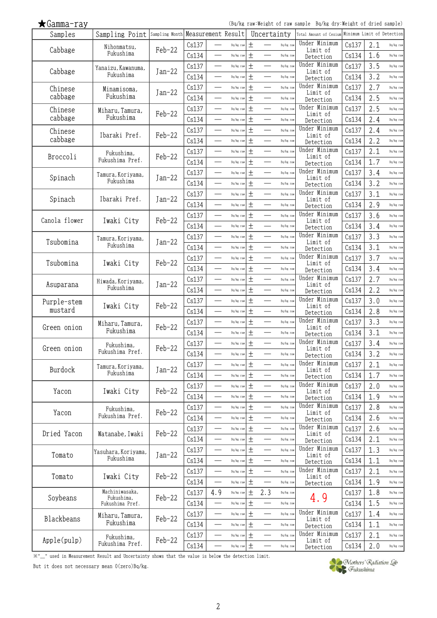(Bq/kg raw:Weight of raw sample Bq/kg dry:Weight of dried sample)

| Samples       | Sampling Point Sampling Month Measurement Result |          |       |                          |           |        | Uncertainty                           | Total Amount of Cesium     |       | Minimum Limit of Detection |           |
|---------------|--------------------------------------------------|----------|-------|--------------------------|-----------|--------|---------------------------------------|----------------------------|-------|----------------------------|-----------|
|               | Nihonmatsu,                                      | Feb-22   | Cs137 |                          | Bq/kg raw | $^{+}$ | Bq/kg raw                             | Under Minimum              | Cs137 | 2.1                        | Bq/kg raw |
| Cabbage       | Fukushima                                        |          | Cs134 |                          | Bq/kg raw | $\pm$  | Bq/kg raw                             | Limit of<br>Detection      | Cs134 | 1.6                        | Bq/kg raw |
|               | Yanaizu, Kawanuma,                               |          | Cs137 |                          | Bq/kg raw | $\pm$  | Bq/kg raw                             | Under Minimum              | Cs137 | 3.5                        | Bq/kg raw |
| Cabbage       | Fukushima                                        | $Jan-22$ | Cs134 | $\overline{\phantom{a}}$ | Bq/kg raw | $\pm$  | $\qquad \qquad$<br>Bq/kg raw          | Limit of<br>Detection      | Cs134 | 3.2                        | Bq/kg raw |
| Chinese       |                                                  |          | Cs137 | $\overline{\phantom{0}}$ | Bq/kg raw | $\pm$  | Bq/kg raw                             | Under Minimum              | Cs137 | 2.7                        | Bq/kg raw |
| cabbage       | Minamisoma,<br>Fukushima                         | $Jan-22$ | Cs134 |                          | Bq/kg raw | 土      | $\overline{\phantom{0}}$<br>Bq/kg raw | Limit of                   | Cs134 | 2.5                        | Bq/kg raw |
|               |                                                  |          |       |                          |           |        |                                       | Detection<br>Under Minimum |       |                            |           |
| Chinese       | Miharu, Tamura,                                  | Feb-22   | Cs137 | $\overline{\phantom{a}}$ | Bq/kg raw | $\pm$  | $\overline{\phantom{0}}$<br>Bq/kg raw | Limit of                   | Cs137 | 2.5                        | Bq/kg raw |
| cabbage       | Fukushima                                        |          | Cs134 |                          | Bq/kg raw | $\pm$  | Bq/kg raw                             | Detection                  | Cs134 | 2.4                        | Bq/kg raw |
| Chinese       | Ibaraki Pref.                                    | Feb-22   | Cs137 |                          | Bq/kg raw | $\pm$  | Bq/kg raw                             | Under Minimum<br>Limit of  | Cs137 | 2.4                        | Bq/kg raw |
| cabbage       |                                                  |          | Cs134 | $\overline{\phantom{0}}$ | Bq/kg raw | $\pm$  | Bq/kg raw                             | Detection                  | Cs134 | 2.2                        | Bq/kg raw |
| Broccoli      | Fukushima,                                       | $Feb-22$ | Cs137 |                          | Bq/kg raw | $\pm$  | Bq/kg raw                             | Under Minimum<br>Limit of  | Cs137 | 2.1                        | Bq/kg raw |
|               | Fukushima Pref.                                  |          | Cs134 |                          | Bq/kg raw | $\pm$  | $\overline{\phantom{0}}$<br>Bq/kg raw | Detection                  | Cs134 | 1.7                        | Bq/kg raw |
|               | Tamura, Koriyama,                                |          | Cs137 | $\overline{\phantom{0}}$ | Bq/kg raw | $\pm$  | $\overline{\phantom{0}}$<br>Bq/kg raw | Under Minimum              | Cs137 | 3.4                        | Bq/kg raw |
| Spinach       | Fukushima                                        | $Jan-22$ | Cs134 | $\overline{\phantom{a}}$ | Bq/kg raw | $\pm$  | $\overline{\phantom{0}}$<br>Bq/kg raw | Limit of<br>Detection      | Cs134 | 3.2                        | Bq/kg raw |
|               |                                                  |          | Cs137 |                          | Bq/kg raw | $\pm$  | Bq/kg raw                             | Under Minimum              | Cs137 | 3.1                        | Bq/kg raw |
| Spinach       | Ibaraki Pref.                                    | $Jan-22$ | Cs134 |                          | Bq/kg raw | $\pm$  | $\overline{\phantom{0}}$<br>Bq/kg raw | Limit of                   | Cs134 | 2.9                        | Bq/kg raw |
|               |                                                  |          |       | $\sim$                   | Bq/kg raw | $\pm$  | $\overline{\phantom{0}}$<br>Bq/kg raw | Detection<br>Under Minimum |       | 3.6                        | Bq/kg raw |
| Canola flower | Iwaki City                                       | Feb-22   | Cs137 |                          |           |        |                                       | Limit of                   | Cs137 |                            |           |
|               |                                                  |          | Cs134 |                          | Bq/kg raw | $\pm$  | Bq/kg raw                             | Detection<br>Under Minimum | Cs134 | 3.4                        | Bq/kg raw |
| Tsubomina     | Tamura, Koriyama,                                | $Jan-22$ | Cs137 | $\overline{\phantom{0}}$ | Bq/kg raw | 土      | Bq/kg raw                             | Limit of                   | Cs137 | 3.3                        | Bq/kg raw |
|               | Fukushima                                        |          | Cs134 |                          | Bq/kg raw | $\pm$  | Bq/kg raw                             | Detection                  | Cs134 | 3.1                        | Bq/kg raw |
| Tsubomina     | Iwaki City                                       | $Feb-22$ | Cs137 |                          | Bq/kg raw | $\pm$  | Bq/kg raw                             | Under Minimum<br>Limit of  | Cs137 | 3.7                        | Bq/kg raw |
|               |                                                  |          | Cs134 |                          | Bq/kg raw | $\pm$  | $\overline{\phantom{0}}$<br>Bq/kg raw | Detection                  | Cs134 | 3.4                        | Bq/kg raw |
|               | Hiwada, Koriyama,                                |          | Cs137 | —<br>—                   | Bq/kg raw | 土      | Bq/kg raw<br>$\overline{\phantom{0}}$ | Under Minimum              | Cs137 | 2.7                        | Bq/kg raw |
| Asuparana     | Fukushima                                        | $Jan-22$ | Cs134 | <u>e a</u>               | Bq/kg raw | $\pm$  | $\equiv$<br>Bq/kg raw                 | Limit of<br>Detection      | Cs134 | 2.2                        | Bq/kg raw |
| Purple-stem   |                                                  |          | Cs137 |                          | Bq/kg raw | 土      | $\overline{\phantom{0}}$<br>Bq/kg raw | Under Minimum              | Cs137 | 3.0                        | Bq/kg raw |
| mustard       | Iwaki City                                       | $Feb-22$ | Cs134 | $\overline{\phantom{a}}$ | Bq/kg raw | $\pm$  | $\overline{\phantom{0}}$<br>Bq/kg raw | Limit of                   | Cs134 | 2.8                        | Bq/kg raw |
|               |                                                  |          | Cs137 |                          | Bq/kg raw | $\pm$  | Bq/kg raw                             | Detection<br>Under Minimum | Cs137 | 3.3                        | Bq/kg raw |
| Green onion   | Miharu, Tamura,<br>Fukushima                     | Feb-22   |       |                          |           |        |                                       | Limit of                   |       |                            |           |
|               |                                                  |          | Cs134 | $\overline{\phantom{a}}$ | Bq/kg raw | $\pm$  | Bq/kg raw                             | Detection                  | Cs134 | 3.1                        | Bq/kg raw |
| Green onion   | Fukushima,                                       | Feb-22   | Cs137 |                          | Bq/kg raw | $\pm$  | Bq/kg raw                             | Under Minimum<br>Limit of  | Cs137 | 3.4                        | Bq/kg raw |
|               | Fukushima Pref.                                  |          | Cs134 |                          | Bq/kg raw | 土      | Bq/kg raw                             | Detection                  | Cs134 | 3.2                        | Bq/kg raw |
| Burdock       | Tamura, Koriyama,                                | $Jan-22$ | Cs137 |                          | Bq/kg raw | $\pm$  | Bq/kg raw                             | Under Minimum<br>Limit of  | Cs137 | 2.1                        | Bq/kg raw |
|               | Fukushima                                        |          | Cs134 |                          | Bq/kg raw | 土      | Bq/kg raw                             | Detection                  | Cs134 | 1.7                        | Bq/kg raw |
|               |                                                  |          | Cs137 |                          | Bq/kg raw | $\pm$  | $\overline{\phantom{0}}$<br>Bq/kg raw | Under Minimum              | Cs137 | 2.0                        | Bq/kg raw |
| Yacon         | Iwaki City                                       | Feb-22   | Cs134 |                          | Bq/kg raw | $\pm$  | Bq/kg raw                             | Limit of<br>Detection      | Cs134 | 1.9                        | Bq/kg raw |
|               | Fukushima,                                       |          | Cs137 | $\overline{\phantom{a}}$ | Bq/kg raw | $\pm$  | Bq/kg raw<br>$\overline{\phantom{0}}$ | Under Minimum              | Cs137 | 2.8                        | Bq/kg raw |
| Yacon         | Fukushima Pref.                                  | Feb-22   | Cs134 | —                        | Bq/kg raw | $\pm$  | Bq/kg raw                             | Limit of                   | Cs134 | 2.6                        | Bq/kg raw |
|               |                                                  |          |       |                          |           | $\pm$  |                                       | Detection<br>Under Minimum |       |                            |           |
| Dried Yacon   | Watanabe, Iwaki                                  | $Feb-22$ | Cs137 |                          | Bq/kg raw |        | Bq/kg raw                             | Limit of                   | Cs137 | 2.6                        | Bq/kg raw |
|               |                                                  |          | Cs134 | $\overline{\phantom{0}}$ | Bq/kg raw | $\pm$  | Bq/kg raw                             | Detection                  | Cs134 | 2.1                        | Bq/kg raw |
| Tomato        | Yasuhara, Koriyama,                              | $Jan-22$ | Cs137 |                          | Bq/kg raw | $\pm$  | Bq/kg raw                             | Under Minimum<br>Limit of  | Cs137 | 1.3                        | Bq/kg raw |
|               | Fukushima                                        |          | Cs134 |                          | Bq/kg raw | $\pm$  | $\overline{\phantom{0}}$<br>Bq/kg raw | Detection                  | Cs134 | 1.1                        | Bq/kg raw |
| Tomato        | Iwaki City                                       | Feb-22   | Cs137 | $\overline{\phantom{0}}$ | Bq/kg raw | $\pm$  | Bq/kg raw                             | Under Minimum              | Cs137 | 2.1                        | Bq/kg raw |
|               |                                                  |          | Cs134 |                          | Bq/kg raw | $\pm$  | Bq/kg raw                             | Limit of<br>Detection      | Cs134 | 1.9                        | Bq/kg raw |
|               | Machiniwasaka,                                   |          | Cs137 | 4.9                      | Bq/kg raw | $\pm$  | 2.3<br>Bq/kg raw                      |                            | Cs137 | 1.8                        | Bq/kg raw |
| Soybeans      | Fukushima,<br>Fukushima Pref.                    | $Feb-22$ | Cs134 |                          | Bq/kg raw | 土      | Bq/kg raw                             | 4.9                        | Cs134 | 1.5                        | Bq/kg raw |
|               |                                                  |          | Cs137 | —<br>——                  | Bq/kg raw | $\pm$  | $\overline{\phantom{0}}$<br>Bq/kg raw | Under Minimum              | Cs137 | 1.4                        | Bq/kg raw |
| Blackbeans    | Miharu, Tamura,<br>Fukushima                     | $Feb-22$ | Cs134 |                          | Bq/kg raw | $\pm$  | Bq/kg raw                             | Limit of                   | Cs134 | 1.1                        | Bq/kg raw |
|               |                                                  |          |       |                          |           | $\pm$  | Bq/kg raw<br>$\overline{\phantom{0}}$ | Detection<br>Under Minimum |       |                            |           |
| Apple(pulp)   | Fukushima,<br>Fukushima Pref.                    | Feb-22   | Cs137 |                          | Bq/kg raw |        |                                       | Limit of                   | Cs137 | 2.1                        | Bq/kg raw |
|               |                                                  |          | Cs134 |                          | Bq/kg raw | $\pm$  | Bq/kg raw                             | Detection                  | Cs134 | 2.0                        | Bq/kg raw |

※"\_" used in Measurement Result and Uncertainty shows that the value is below the detection limit.

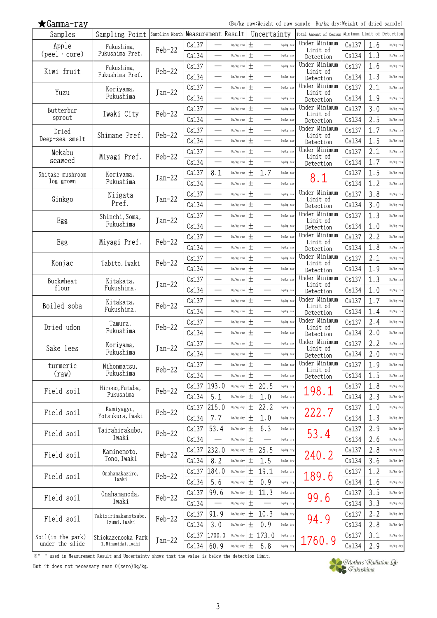(Bq/kg raw:Weight of raw sample Bq/kg dry:Weight of dried sample)

| Samples                           | Sampling Point Sampling Month Measurement Result |          |       |                          |           |        | Uncertainty              |           | Total Amount of Cesium     |       | Minimum Limit of Detection |           |
|-----------------------------------|--------------------------------------------------|----------|-------|--------------------------|-----------|--------|--------------------------|-----------|----------------------------|-------|----------------------------|-----------|
| Apple                             | Fukushima,                                       | Feb-22   | Cs137 |                          | Bq/kg raw | $^{+}$ |                          | Bq/kg raw | Under Minimum<br>Limit of  | Cs137 | 1.6                        | Bq/kg raw |
| $(\text{peel} \cdot \text{core})$ | Fukushima Pref.                                  |          | Cs134 |                          | Bq/kg raw | $\pm$  |                          | Bq/kg raw | Detection                  | Cs134 | 1.3                        | Bq/kg raw |
|                                   | Fukushima,                                       |          | Cs137 |                          | Bq/kg raw | $\pm$  |                          | Bq/kg raw | Under Minimum              | Cs137 | 1.6                        | Bq/kg raw |
| Kiwi fruit                        | Fukushima Pref.                                  | $Feb-22$ | Cs134 | $\overline{\phantom{a}}$ | Bq/kg raw | 土      | $\overline{\phantom{0}}$ | Bq/kg raw | Limit of<br>Detection      | Cs134 | 1.3                        | Bq/kg raw |
|                                   | Koriyama,                                        |          | Cs137 | $\overline{\phantom{0}}$ | Bq/kg raw | $\pm$  |                          | Bq/kg raw | Under Minimum              | Cs137 | 2.1                        | Bq/kg raw |
| Yuzu                              | Fukushima                                        | $Jan-22$ | Cs134 |                          | Bq/kg raw | 土      | $\overline{\phantom{0}}$ | Bq/kg raw | Limit of<br>Detection      | Cs134 | 1.9                        | Bq/kg raw |
|                                   |                                                  |          | Cs137 | $\overline{\phantom{0}}$ | Bq/kg raw | $\pm$  | $\overline{\phantom{0}}$ | Bq/kg raw | Under Minimum              | Cs137 | 3.0                        | Bq/kg raw |
| Butterbur<br>sprout               | Iwaki City                                       | $Feb-22$ | Cs134 |                          | Bq/kg raw | $\pm$  |                          | Bq/kg raw | Limit of                   | Cs134 | 2.5                        | Bq/kg raw |
|                                   |                                                  |          | Cs137 |                          | Bq/kg raw | $\pm$  |                          | Bq/kg raw | Detection<br>Under Minimum | Cs137 | 1.7                        | Bq/kg raw |
| Dried<br>Deep-sea smelt           | Shimane Pref.                                    | Feb-22   | Cs134 | $\overline{\phantom{0}}$ | Bq/kg raw | $\pm$  | $\overline{\phantom{0}}$ | Bq/kg raw | Limit of                   | Cs134 | 1.5                        | Bq/kg raw |
|                                   |                                                  |          | Cs137 |                          | Bq/kg raw | $\pm$  |                          | Bq/kg raw | Detection<br>Under Minimum | Cs137 | 2.1                        | Bq/kg raw |
| Mekabu<br>seaweed                 | Miyagi Pref.                                     | $Feb-22$ | Cs134 | $\overline{\phantom{0}}$ | Bq/kg raw | $\pm$  | $\overline{\phantom{0}}$ | Bq/kg raw | Limit of                   | Cs134 | 1.7                        | Bq/kg raw |
|                                   |                                                  |          | Cs137 | 8.1                      | Bq/kg raw | $\pm$  | 1.7                      | Bq/kg raw | Detection                  | Cs137 | 1.5                        | Bq/kg raw |
| Shitake mushroom<br>log grown     | Koriyama,<br>Fukushima                           | $Jan-22$ | Cs134 |                          | Bq/kg raw | $\pm$  |                          | Bq/kg raw | 8.1                        | Cs134 | 1.2                        | Bq/kg raw |
|                                   |                                                  |          |       |                          |           | $\pm$  |                          |           | Under Minimum              |       | 3.8                        |           |
| Ginkgo                            | Niigata<br>Pref.                                 | $Jan-22$ | Cs137 |                          | Bq/kg raw | $\pm$  | $\overline{\phantom{0}}$ | Bq/kg raw | Limit of                   | Cs137 |                            | Bq/kg raw |
|                                   |                                                  |          | Cs134 | $\overline{\phantom{a}}$ | Bq/kg raw |        | $\overline{\phantom{0}}$ | Bq/kg raw | Detection<br>Under Minimum | Cs134 | 3.0                        | Bq/kg raw |
| Egg                               | Shinchi, Soma,<br>Fukushima                      | $Jan-22$ | Cs137 |                          | Bq/kg raw | $\pm$  |                          | Bq/kg raw | Limit of                   | Cs137 | 1.3                        | Bq/kg raw |
|                                   |                                                  |          | Cs134 |                          | Bq/kg raw | $\pm$  |                          | Bq/kg raw | Detection<br>Under Minimum | Cs134 | 1.0                        | Bq/kg raw |
| Egg                               | Miyagi Pref.                                     | $Feb-22$ | Cs137 | $\overline{\phantom{0}}$ | Bq/kg raw | 土      |                          | Bq/kg raw | Limit of                   | Cs137 | 2.2                        | Bq/kg raw |
|                                   |                                                  |          | Cs134 |                          | Bq/kg raw | $\pm$  |                          | Bq/kg raw | Detection                  | Cs134 | 1.8                        | Bq/kg raw |
| Konjac                            | Tabito, Iwaki                                    | $Feb-22$ | Cs137 |                          | Bq/kg raw | $\pm$  |                          | Bq/kg raw | Under Minimum<br>Limit of  | Cs137 | 2.1                        | Bq/kg raw |
|                                   |                                                  |          | Cs134 |                          | Bq/kg raw | $\pm$  |                          | Bq/kg raw | Detection                  | Cs134 | 1.9                        | Bq/kg raw |
| Buckwheat                         | Kitakata,                                        | $Jan-22$ | Cs137 |                          | Bq/kg raw | 土      | $\overline{\phantom{0}}$ | Bq/kg raw | Under Minimum<br>Limit of  | Cs137 | 1.3                        | Bq/kg raw |
| flour                             | Fukushima.                                       |          | Cs134 | <u>e a</u>               | Bq/kg raw | $\pm$  |                          | Bq/kg raw | Detection                  | Cs134 | 1.0                        | Bq/kg raw |
| Boiled soba                       | Kitakata,                                        | $Feb-22$ | Cs137 |                          | Bq/kg raw | 土      | $\overline{\phantom{0}}$ | Bq/kg raw | Under Minimum<br>Limit of  | Cs137 | 1.7                        | Bq/kg raw |
|                                   | Fukushima.                                       |          | Cs134 | $\sim$                   | Bq/kg raw | $\pm$  | $\overline{\phantom{0}}$ | Bq/kg raw | Detection                  | Cs134 | 1.4                        | Bq/kg raw |
| Dried udon                        | Tamura,                                          | Feb-22   | Cs137 |                          | Bq/kg raw | $\pm$  |                          | Bq/kg raw | Under Minimum<br>Limit of  | Cs137 | 2.4                        | Bq/kg raw |
|                                   | Fukushima                                        |          | Cs134 | $\overline{\phantom{a}}$ | Bq/kg raw | $\pm$  | $\qquad \qquad$          | Bq/kg raw | Detection                  | Cs134 | 2.0                        | Bq/kg raw |
| Sake lees                         | Koriyama,                                        | $Jan-22$ | Cs137 |                          | Bq/kg raw | $\pm$  |                          | Bq/kg raw | Under Minimum<br>Limit of  | Cs137 | 2.2                        | Bq/kg raw |
|                                   | Fukushima                                        |          | Cs134 |                          | Bq/kg raw | 土      |                          | Bq/kg raw | Detection                  | Cs134 | 2.0                        | Bq/kg raw |
| turmeric                          | Nihonmatsu,                                      | $Feb-22$ | Cs137 |                          | Bq/kg raw | 土      |                          | Bq/kg raw | Under Minimum<br>Limit of  | Cs137 | 1.9                        | Bq/kg raw |
| $(\text{raw})$                    | Fukushima                                        |          | Cs134 |                          | Bq/kg raw | 土      |                          | Bq/kg raw | Detection                  | Cs134 | 1.5                        | Bq/kg raw |
|                                   | Hirono, Futaba,                                  |          | Cs137 | 193.0                    | Bq/kg dry | 土      | 20.5                     | Bq/kg dry |                            | Cs137 | 1.8                        | Bq/kg dry |
| Field soil                        | Fukushima                                        | Feb-22   | Cs134 | 5.1                      | Bq/kg dry | $\pm$  | 1.0                      | Bq/kg dry | 198.1                      | Cs134 | 2.3                        | Bq/kg dry |
|                                   | Kamiyagyu,                                       |          | Cs137 | 215.0                    | Bq/kg dry | 土      | 22.2                     | Bq/kg dry |                            | Cs137 | 1.0                        | Bq/kg dry |
| Field soil                        | Yotsukura, Iwaki                                 | Feb-22   | Cs134 | 7.7                      | Bq/kg dry | 土      | 1.0                      | Bq/kg dry | 222.7                      | Cs134 | 1.3                        | Bq/kg dry |
|                                   | Tairahirakubo,                                   |          | Cs137 | 53.4                     | Bq/kg dry | 土      | 6.3                      | Bq/kg dry |                            | Cs137 | 2.9                        | Bq/kg dry |
| Field soil                        | Iwaki                                            | $Feb-22$ | Cs134 |                          | Bq/kg dry | 土      |                          | Bq/kg dry | 53.4                       | Cs134 | 2.6                        | Bq/kg dry |
|                                   | Kaminemoto,                                      |          | Cs137 | 232.0                    | Bq/kg dry | $\pm$  | 25.5                     | Bq/kg dry |                            | Cs137 | 2.8                        | Bq/kg dry |
| Field soil                        | Tono, Iwaki                                      | $Feb-22$ | Cs134 | 8.2                      | Bq/kg dry | $\pm$  | 1.5                      | Bq/kg dry | 240.2                      | Cs134 | 3.6                        | Bq/kg dry |
|                                   | Onahamakaziro,                                   |          | Cs137 | 184.0                    | Bq/kg dry | 土      | 19.1                     | Bq/kg dry |                            | Cs137 | 1.2                        | Bq/kg dry |
| Field soil                        | Iwaki                                            | Feb-22   | Cs134 | 5.6                      | Bq/kg dry | 土      | 0.9                      | Bq/kg dry | 189.6                      | Cs134 | 1.6                        | Bq/kg dry |
|                                   | Onahamanoda,                                     |          | Cs137 | 99.6                     | Bq/kg dry | 土      | 11.3                     | Bq/kg dry |                            | Cs137 | 3.5                        | Bq/kg dry |
| Field soil                        | Iwaki                                            | $Feb-22$ | Cs134 |                          | Bq/kg dry | 土      |                          | Bq/kg dry | 99.6                       | Cs134 | 3.3                        | Bq/kg dry |
|                                   | Takizirinakanotsubo,                             |          | Cs137 | 91.9                     | Bq/kg dry | $\pm$  | 10.3                     | Bq/kg dry |                            | Cs137 | 2.2                        | Bq/kg dry |
| Field soil                        | Izumi, Iwaki                                     | Feb-22   | Cs134 | 3.0                      | Bq/kg dry | $\pm$  | 0.9                      | Bq/kg dry | 94.9                       | Cs134 | 2.8                        | Bq/kg dry |
| Soil(in the park)                 | Shiokazenooka Park                               |          | Cs137 | 1700.0                   | Bq/kg dry |        | ± 173.0                  | Bq/kg dry |                            | Cs137 | 3.1                        | Bq/kg dry |
| under the slide                   | 1, Minamidai, Iwaki                              | $Jan-22$ | Cs134 | 60.9                     | Bq/kg dry | 土      | $6.8$                    | Bq/kg dry | 1760.9                     | Cs134 | 2.9                        | Bq/kg dry |

※"\_" used in Measurement Result and Uncertainty shows that the value is below the detection limit.

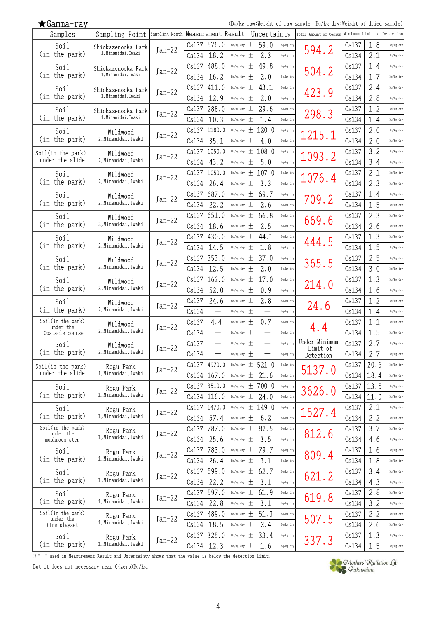|  | (Bq/kg raw:Weight of raw sample Bq/kg dry:Weight of dried sample) |  |  |  |  |  |  |  |
|--|-------------------------------------------------------------------|--|--|--|--|--|--|--|
|--|-------------------------------------------------------------------|--|--|--|--|--|--|--|

| $\bigstar$ Gamma-ray           |                     |                                   |       |                          |           |                    |             |           | (Bq/kg raw:Weight of raw sample Bq/kg dry:Weight of dried sample) |       |      |           |
|--------------------------------|---------------------|-----------------------------------|-------|--------------------------|-----------|--------------------|-------------|-----------|-------------------------------------------------------------------|-------|------|-----------|
| Samples                        | Sampling Point      | Sampling Month Measurement Result |       |                          |           |                    | Uncertainty |           | Total Amount of Cesium Minimum Limit of Detection                 |       |      |           |
| Soil                           | Shiokazenooka Park  | $Jan-22$                          | Cs137 | 576.0                    | Bq/kg dry | 土                  | 59.0        | Bq/kg dry | 594.2                                                             | Cs137 | 1.8  | Bq/kg dry |
| (in the park)                  | 1, Minamidai, Iwaki |                                   | Cs134 | 18.2                     | Bq/kg dry | 土                  | 2.3         | Bq/kg dry |                                                                   | Cs134 | 2.1  | Bq/kg dry |
| Soil                           | Shiokazenooka Park  | Jan-22                            | Cs137 | 488.0                    | Bq/kg dry | $\pm$              | 49.8        | Bq/kg dry | 504.2                                                             | Cs137 | 1.4  | Bq/kg dry |
| (in the park)                  | 1, Minamidai, Iwaki |                                   | Cs134 | 16.2                     | Bq/kg dry | 土                  | 2.0         | Bq/kg dry |                                                                   | Cs134 | 1.7  | Bq/kg dry |
| Soil                           | Shiokazenooka Park  | $Jan-22$                          | Cs137 | 411.0                    | Bq/kg dry | 土                  | 43.1        | Bq/kg dry | 423.9                                                             | Cs137 | 2.4  | Bq/kg dry |
| (in the park)                  | 1, Minamidai, Iwaki |                                   | Cs134 | 12.9                     | Bq/kg dry | 土                  | 2.0         | Bq/kg dry |                                                                   | Cs134 | 2.8  | Bq/kg dry |
| Soil                           | Shiokazenooka Park  | $Jan-22$                          | Cs137 | 288.0                    | Bq/kg dry | 土                  | 29.6        | Bq/kg dry | 298.3                                                             | Cs137 | 1.2  | Bq/kg dry |
| (in the park)                  | 1, Minamidai, Iwaki |                                   | Cs134 | 10.3                     | Bq/kg dry | 土                  | 1.4         | Bq/kg dry |                                                                   | Cs134 | 1.4  | Bq/kg dry |
| Soil                           | Wildwood            | $Jan-22$                          | Cs137 | 1180.0                   | Bq/kg dry | 土                  | 120.0       | Bq/kg dry | 1215.1                                                            | Cs137 | 2.0  | Bq/kg dry |
| (in the park)                  | 2, Minamidai, Iwaki |                                   | Cs134 | 35.1                     | Bq/kg dry | 土                  | 4.0         | Bq/kg dry |                                                                   | Cs134 | 2.0  | Bq/kg dry |
| Soil(in the park)              | Wildwood            | $Jan-22$                          | Cs137 | 1050.0                   | Bq/kg dry | 土                  | 108.0       | Bq/kg dry | 1093.2                                                            | Cs137 | 3.2  | Bq/kg dry |
| under the slide                | 2, Minamidai, Iwaki |                                   | Cs134 | 43.2                     | Bq/kg dry | 土                  | 5.0         | Bq/kg dry |                                                                   | Cs134 | 3.4  | Bq/kg dry |
| Soil                           | Wildwood            | $Jan-22$                          | Cs137 | 1050.0                   | Bq/kg dry |                    | ± 107.0     | Bq/kg dry | 1076.4                                                            | Cs137 | 2.1  | Bq/kg dry |
| (in the park)                  | 2. Minamidai. Iwaki |                                   | Cs134 | 26.4                     | Bq/kg dry | $\hspace{0.1mm} +$ | 3.3         | Bq/kg dry |                                                                   | Cs134 | 2.3  | Bq/kg dry |
| Soil                           | Wildwood            | Jan-22                            | Cs137 | 687.0                    | Bq/kg dry | 土                  | 69.7        | Bq/kg dry | 709.2                                                             | Cs137 | 1.4  | Bq/kg dry |
| (in the park)                  | 2, Minamidai, Iwaki |                                   | Cs134 | 22.2                     | Bq/kg dry | 土                  | 2.6         | Bq/kg dry |                                                                   | Cs134 | 1.5  | Bq/kg dry |
| Soil                           | Wildwood            | Jan-22                            | Cs137 | 651.0                    | Bq/kg dry | $\pm$              | 66.8        | Bq/kg dry | 669.6                                                             | Cs137 | 2.3  | Bq/kg dry |
| (in the park)                  | 2, Minamidai, Iwaki |                                   | Cs134 | 18.6                     | Bq/kg dry | 土                  | 2.5         | Bq/kg dry |                                                                   | Cs134 | 2.6  | Bq/kg dry |
| Soil                           | Wildwood            | Jan-22                            | Cs137 | 430.0                    | Bq/kg dry | 土                  | 44.1        | Bq/kg dry | 444.5                                                             | Cs137 | 1.3  | Bq/kg dry |
| (in the park)                  | 2, Minamidai, Iwaki |                                   | Cs134 | 14.5                     | Bq/kg dry | 土                  | 1.8         | Bq/kg dry |                                                                   | Cs134 | 1.5  | Bq/kg dry |
| Soil                           | Wildwood            | $Jan-22$                          | Cs137 | 353.0                    | Bq/kg dry | 土                  | 37.0        | Bq/kg dry | 365.5                                                             | Cs137 | 2.5  | Bq/kg dry |
| (in the park)                  | 2, Minamidai, Iwaki |                                   | Cs134 | 12.5                     | Bq/kg dry | $\pm$              | 2.0         | Bq/kg dry |                                                                   | Cs134 | 3.0  | Bq/kg dry |
| Soil                           | Wildwood            | Jan-22                            | Cs137 | 162.0                    | Bq/kg dry | 土                  | 17.0        | Bq/kg dry | 214.0                                                             | Cs137 | 1.3  | Bq/kg dry |
| (in the park)                  | 2, Minamidai, Iwaki |                                   | Cs134 | 52.0                     | Bq/kg dry | 土                  | 0.9         | Bq/kg dry |                                                                   | Cs134 | 1.6  | Bq/kg dry |
| Soil                           | Wildwood            | $Jan-22$                          | Cs137 | 24.6                     | Bq/kg dry | 土                  | 2.8         | Bq/kg dry | 24.6                                                              | Cs137 | 1.2  | Bq/kg dry |
| (in the park)                  | 2, Minamidai, Iwaki |                                   | Cs134 | $\overline{\phantom{0}}$ | Bq/kg dry | 土                  |             | Bq/kg dry |                                                                   | Cs134 | 1.4  | Bq/kg dry |
| Soil(in the park)<br>under the | Wildwood            | $Jan-22$                          | Cs137 | 4.4                      | Bq/kg dry | 土                  | 0.7         | Bq/kg dry | 4.4                                                               | Cs137 | 1.1  | Bq/kg dry |
| Obstacle course                | 2, Minamidai, Iwaki |                                   | Cs134 |                          | Bq/kg dry | $^{+}$             |             | Bq/kg dry |                                                                   | Cs134 | 1.5  | Bq/kg dry |
| Soil                           | Wildwood            | $Jan-22$                          | Cs137 | $\overline{\phantom{0}}$ | Bq/kg dry | $\pm$              | —           | Bq/kg dry | Under Minimum<br>Limit of                                         | Cs137 | 2.7  | Bq/kg dry |
| (in the park)                  | 2, Minamidai, Iwaki |                                   | Cs134 |                          | Bq/kg dry | 土                  |             | Bq/kg dry | Detection                                                         | Cs134 | 2.7  | Bq/kg dry |
| Soil(in the park)              | Rogu Park           | $Jan-22$                          |       | Cs137 4970.0             | Bq/kg dry |                    | ± 521.0     | Bq/kg dry | 5137.0                                                            | Cs137 | 20.6 | Bq/kg dry |
| under the slide                | 1, Minamidai, Iwaki |                                   |       | Cs134   167.0            | Bq/kg dry | $\pm$              | 21.6        | Bq/kg dry |                                                                   | Cs134 | 18.4 | Bq/kg dry |
| Soil                           | Rogu Park           | $Jan-22$                          | Cs137 | 3510.0                   | Bq/kg dry |                    | ± 700.0     | Bq/kg dry | 3626.0                                                            | Cs137 | 13.6 | Bq/kg dry |
| (in the park)                  | 1, Minamidai, Iwaki |                                   |       | Cs134   116.0            | Bq/kg dry | $\pm$              | 24.0        | Bq/kg dry |                                                                   | Cs134 | 11.0 | Bq/kg dry |
| Soil                           | Rogu Park           | $Jan-22$                          |       | $Cs137$ 1470.0           | Bq/kg dry |                    | ± 149.0     | Bq/kg dry | 1527.4                                                            | Cs137 | 2.1  | Bq/kg dry |
| (in the park)                  | 1, Minamidai, Iwaki |                                   | Cs134 | 57.4                     | Bq/kg dry | $\pm$              | 6.2         | Bq/kg dry |                                                                   | Cs134 | 2.2  | Bq/kg dry |
| Soil(in the park)<br>under the | Rogu Park           | $Jan-22$                          | Cs137 | 787.0                    | Bq/kg dry | 土                  | 82.5        | Bq/kg dry | 812.6                                                             | Cs137 | 3.7  | Bq/kg dry |
| mushroom step                  | 1, Minamidai, Iwaki |                                   | Cs134 | 25.6                     | Bq/kg dry | 土                  | 3.5         | Bq/kg dry |                                                                   | Cs134 | 4.6  | Bq/kg dry |
| Soil                           | Rogu Park           | $Jan-22$                          | Cs137 | 783.0                    | Bq/kg dry | 土                  | 79.7        | Bq/kg dry | 809.4                                                             | Cs137 | 1.6  | Bq/kg dry |
| (in the park)                  | 1, Minamidai, Iwaki |                                   | Cs134 | 26.4                     | Bq/kg dry | 土                  | 3.1         | Bq/kg dry |                                                                   | Cs134 | 1.8  | Bq/kg dry |
| Soil                           | Rogu Park           | $Jan-22$                          | Cs137 | 599.0                    | Bq/kg dry | $\pm$              | 62.7        | Bq/kg dry | 621.2                                                             | Cs137 | 3.4  | Bq/kg dry |
| (in the park)                  | 1, Minamidai, Iwaki |                                   | Cs134 | 22.2                     | Bq/kg dry | $\pm$              | 3.1         | Bq/kg dry |                                                                   | Cs134 | 4.3  | Bq/kg dry |
| Soil                           | Rogu Park           | $Jan-22$                          | Cs137 | 597.0                    | Bq/kg dry | $\pm$              | 61.9        | Bq/kg dry | 619.8                                                             | Cs137 | 2.8  | Bq/kg dry |
| (in the park)                  | 1, Minamidai, Iwaki |                                   | Cs134 | 22.8                     | Bq/kg dry | $\pm$              | 3.1         | Bq/kg dry |                                                                   | Cs134 | 3.2  | Bq/kg dry |
| Soil(in the park)<br>under the | Rogu Park           | $Jan-22$                          | Cs137 | 489.0                    | Bq/kg dry | 土                  | 51.3        | Bq/kg dry | 507.5                                                             | Cs137 | 2.2  | Bq/kg dry |
| tire playset                   | 1, Minamidai, Iwaki |                                   | Cs134 | 18.5                     | Bq/kg dry | 土                  | 2.4         | Bq/kg dry |                                                                   | Cs134 | 2.6  | Bq/kg dry |
| Soil                           | Rogu Park           | $Jan-22$                          | Cs137 | 325.0                    | Bq/kg dry | 土                  | 33.4        | Bq/kg dry | 337.3                                                             | Cs137 | 1.3  | Bq/kg dry |
| (in the park)                  | 1, Minamidai, Iwaki |                                   | Cs134 | 12.3                     | Bq/kg dry | $\pm$              | 1.6         | Bq/kg dry |                                                                   | Cs134 | 1.5  | Bq/kg dry |

※"\_" used in Measurement Result and Uncertainty shows that the value is below the detection limit.

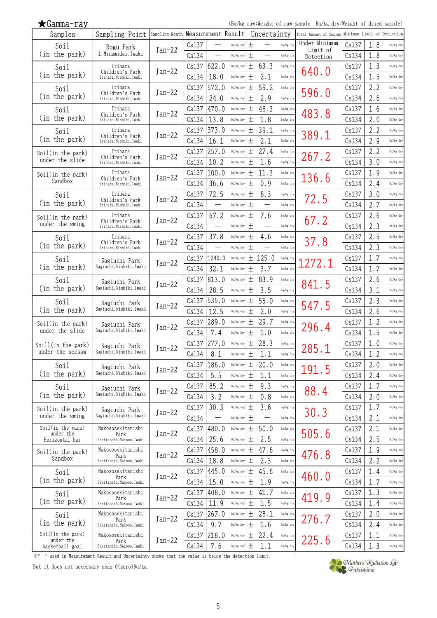| (Bq/kg raw:Weight of raw sample Bq/kg dry:Weight of |
|-----------------------------------------------------|
|                                                     |

dried sample)

| Samples                              | Sampling Point Sampling Month Measurement Result |          |       |                          |           |              | Uncertainty                    |           | Total Amount of Cesium Minimum Limit of Detection |       |     |           |
|--------------------------------------|--------------------------------------------------|----------|-------|--------------------------|-----------|--------------|--------------------------------|-----------|---------------------------------------------------|-------|-----|-----------|
| Soil                                 | Rogu Park                                        |          | Cs137 |                          | Bq/kg dry | $\,^+$       |                                | Bq/kg dry | Under Minimum                                     | Cs137 | 1.8 | Bq/kg dry |
| (in the park)                        | 1, Minamidai, Iwaki                              | $Jan-22$ | Cs134 | —                        | Bq/kg dry | $\,^+$       |                                | Bq/kg dry | Limit of<br>Detection                             | Cs134 | 1.8 | Bq/kg dry |
| Soil                                 | Irihara                                          |          | Cs137 | 622.0                    | Bq/kg dry | 土            | 63.3                           | Bq/kg dry |                                                   | Cs137 | 1.3 | Bq/kg dry |
| (in the park)                        | Children's Park<br>Irihara, Nishiki, Iwaki       | $Jan-22$ | Cs134 | 18.0                     | Bq/kg dry | 土            | 2.1                            | Bq/kg dry | 640.0                                             | Cs134 | 1.5 | Bq/kg dry |
| Soil                                 | Irihara                                          |          | Cs137 | 572.0                    | Bq/kg dry | $\pm$        | 59.2                           | Bq/kg dry |                                                   | Cs137 | 2.2 | Bq/kg dry |
| (in the park)                        | Children's Park<br>Irihara, Nishiki, Iwaki       | $Jan-22$ | Cs134 | 24.0                     | Bq/kg dry | 土            | 2.9                            | Bq/kg dry | 596.0                                             | Cs134 | 2.6 | Bq/kg dry |
|                                      | Irihara                                          |          | Cs137 | 470.0                    | Bq/kg dry | 土            | 48.3                           | Bq/kg dry |                                                   | Cs137 | 1.6 | Bq/kg dry |
| Soil<br>(in the park)                | Children's Park<br>Irihara, Nishiki, Iwaki       | Jan-22   |       | 13.8                     |           |              |                                |           | 483.8                                             |       |     |           |
|                                      |                                                  |          | Cs134 |                          | Bq/kg dry | 土            | 1.8                            | Bq/kg dry |                                                   | Cs134 | 2.0 | Bq/kg dry |
| Soil<br>(in the park)                | Irihara<br>Children's Park                       | $Jan-22$ | Cs137 | 373.0                    | Bq/kg dry | 土            | 39.1                           | Bq/kg dry | 389.1                                             | Cs137 | 2.2 | Bq/kg dry |
|                                      | Irihara, Nishiki, Iwaki                          |          | Cs134 | 16.1                     | Bq/kg dry | 土            | 2.1                            | Bq/kg dry |                                                   | Cs134 | 2.9 | Bq/kg dry |
| Soil(in the park)                    | Irihara<br>Children's Park                       | $Jan-22$ | Cs137 | 257.0                    | Bq/kg dry | 土            | 27.4                           | Bq/kg dry | 267.2                                             | Cs137 | 2.2 | Bq/kg dry |
| under the slide                      | Irihara, Nishiki, Iwaki                          |          | Cs134 | 10.2                     | Bq/kg dry | 土            | 1.6                            | Bq/kg dry |                                                   | Cs134 | 3.0 | Bq/kg dry |
| Soil(in the park)                    | Irihara<br>Children's Park                       | $Jan-22$ | Cs137 | 100.0                    | Bq/kg dry | 土            | 11.3                           | Bq/kg dry | 136.6                                             | Cs137 | 1.9 | Bq/kg dry |
| Sandbox                              | Irihara, Nishiki, Iwaki                          |          | Cs134 | 36.6                     | Bq/kg dry | 土            | 0.9                            | Bq/kg dry |                                                   | Cs134 | 2.4 | Bq/kg dry |
| Soil                                 | Irihara                                          | $Jan-22$ | Cs137 | 72.5                     | Bq/kg dry | 土            | 8.3                            | Bq/kg dry | 72.5                                              | Cs137 | 3.0 | Bq/kg dry |
| (in the park)                        | Children's Park<br>Irihara, Nishiki, Iwaki       |          | Cs134 |                          | Bq/kg dry | 土            |                                | Bq/kg dry |                                                   | Cs134 | 2.7 | Bq/kg dry |
| Soil(in the park)                    | Irihara                                          |          | Cs137 | 67.2                     | Bq/kg dry | 土            | 7.6                            | Bq/kg dry |                                                   | Cs137 | 2.6 | Bq/kg dry |
| under the swing                      | Children's Park<br>Irihara, Nishiki, Iwaki       | $Jan-22$ | Cs134 |                          | Bq/kg dry | $\mathrm{+}$ |                                | Bq/kg dry | 67.2                                              | Cs134 | 2.3 | Bq/kg dry |
| Soil                                 | Irihara                                          |          | Cs137 | 37.8                     | Bq/kg dry | 土            | 4.6                            | Bq/kg dry |                                                   | Cs137 | 2.5 | Bq/kg dry |
| (in the park)                        | Children's Park<br>Irihara, Nishiki, Iwaki       | $Jan-22$ | Cs134 |                          | Bq/kg dry | 土            |                                | Bq/kg dry | 37.8                                              | Cs134 | 2.3 | Bq/kg dry |
| Soil                                 |                                                  |          | Cs137 | 1240.0                   | Bq/kg dry |              | ± 125.0                        | Bq/kg dry |                                                   | Cs137 | 1.7 | Bq/kg dry |
| (in the park)                        | Sagiuchi Park<br>Sagiuchi, Nishiki, Iwaki        | Jan-22   | Cs134 | 32.1                     | Bq/kg dry | 土            | 3.7                            | Bq/kg dry | 272.1                                             | Cs134 | 1.7 | Bq/kg dry |
|                                      |                                                  |          | Cs137 | 813.0                    | Bq/kg dry | 土            | 83.9                           | Bq/kg dry |                                                   | Cs137 | 2.6 | Bq/kg dry |
| Soil<br>(in the park)                | Sagiuchi Park<br>Sagiuchi, Nishiki, Iwaki        | $Jan-22$ | Cs134 | 28.5                     | Bq/kg dry | 土            | 3.5                            | Bq/kg dry | 841.5                                             | Cs134 | 3.1 | Bq/kg dry |
|                                      |                                                  |          |       | 535.0                    |           |              | 55.0                           |           |                                                   |       | 2.3 |           |
| Soil<br>(in the park)                | Sagiuchi Park<br>Sagiuchi, Nishiki, Iwaki        | $Jan-22$ | Cs137 |                          | Bq/kg dry | 土            |                                | Bq/kg dry | 547.5                                             | Cs137 |     | Bq/kg dry |
|                                      |                                                  |          | Cs134 | 12.5                     | Bq/kg dry | 土            | 2.0                            | Bq/kg dry |                                                   | Cs134 | 2.6 | Bq/kg dry |
| Soil(in the park)<br>under the slide | Sagiuchi Park<br>Sagiuchi, Nishiki, Iwaki        | $Jan-22$ | Cs137 | 289.0                    | Bq/kg dry | 土            | 29.7                           | Bq/kg dry | 296.4                                             | Cs137 | 1.2 | Bq/kg dry |
|                                      |                                                  |          | Cs134 | 7.4                      | Bq/kg dry | 土            | 1.0                            | Bq/kg dry |                                                   | Cs134 | 1.5 | Bq/kg dry |
| Soill(in the park)                   | Sagiuchi Park                                    | $Jan-22$ | Cs137 | 277.0                    | Bq/kg dry | 土            | 28.3                           | Bq/kg dry | 285.1                                             | Cs137 | 1.0 | Bq/kg dry |
| under the seesaw                     | Sagiuchi, Nishiki, Iwaki                         |          | Cs134 | 8.1                      | Bq/kg dry | 土            | 1.1                            | Bq/kg dry |                                                   | Cs134 | 1.2 | Bq/kg dry |
| Soil                                 | Sagiuchi Park                                    | $Jan-22$ |       | $Cs137$ 186.0            | Bq/kg dry | 土            | 20.0                           | Bq/kg dry | 191.5                                             | Cs137 | 2.0 | Bq/kg dry |
| (in the park)                        | Sagiuchi, Nishiki, Iwaki                         |          | Cs134 | 5.5                      | Bq/kg dry | 土            | 1.1                            | Bq/kg dry |                                                   | Cs134 | 2.4 | Bq/kg dry |
| Soil                                 | Sagiuchi Park                                    | $Jan-22$ | Cs137 | 85.2                     | Bq/kg dry | 土            | 9.3                            | Bq/kg dry | 88.4                                              | Cs137 | 1.7 | Bq/kg dry |
| (in the park)                        | Sagiuchi, Nishiki, Iwaki                         |          | Cs134 | 3.2                      | Bq/kg dry | 土            | 0.8                            | Bq/kg dry |                                                   | Cs134 | 2.0 | Bq/kg dry |
| Soil(in the park)                    | Sagiuchi Park                                    | $Jan-22$ | Cs137 | 30.3                     | Bq/kg dry | 土            | 3.6                            | Bq/kg dry |                                                   | Cs137 | 1.7 | Bq/kg dry |
| under the swing                      | Sagiuchi, Nishiki, Iwaki                         |          | Cs134 | $\overline{\phantom{0}}$ | Bq/kg dry | 土            | $\qquad \qquad \longleftarrow$ | Bq/kg dry | 30.3                                              | Cs134 | 2.1 | Bq/kg dry |
| Soil(in the park)                    | Nakososekitanishi                                |          | Cs137 | 480.0                    | Bq/kg dry | 土            | 50.0                           | Bq/kg dry |                                                   | Cs137 | 2.1 | Bq/kg dry |
| under the<br>Horizontal bar          | Park<br>Sekitanshi, Nakoso, Iwaki                | $Jan-22$ | Cs134 | 25.6                     | Bq/kg dry | 土            | 2.5                            | Bq/kg dry | 505.6                                             | Cs134 | 2.5 | Bq/kg dry |
| Soil(in the park)                    | Nakososekitanishi                                |          | Cs137 | 458.0                    | Bq/kg dry | 土            | 47.6                           | Bq/kg dry |                                                   | Cs137 | 1.9 | Bq/kg dry |
| Sandbox                              | Park<br>Sekitanshi, Nakoso, Iwaki                | $Jan-22$ | Cs134 | 18.8                     | Bq/kg dry | 土            | 2.3                            | Bq/kg dry | 476.8                                             | Cs134 | 2.2 | Bq/kg dry |
| Soil                                 | Nakososekitanishi                                |          | Cs137 | 445.0                    | Bq/kg dry | 土            | 45.6                           | Bq/kg dry |                                                   | Cs137 | 1.4 | Bq/kg dry |
| (in the park)                        | Park<br>Sekitanshi, Nakoso, Iwaki                | $Jan-22$ | Cs134 | 15.0                     | Bq/kg dry | 土            | 1.9                            | Bq/kg dry | 460.0                                             | Cs134 | 1.7 | Bq/kg dry |
|                                      | Nakososekitanishi                                |          | Cs137 | 408.0                    | Bq/kg dry | 土            | 41.7                           | Bq/kg dry |                                                   | Cs137 | 1.3 | Bq/kg dry |
| Soil<br>(in the park)                | Park                                             | $Jan-22$ |       |                          |           |              |                                |           | 419.9                                             |       |     |           |
|                                      | Sekitanshi, Nakoso, Iwaki                        |          | Cs134 | 11.9                     | Bq/kg dry | 土            | 1.5                            | Bq/kg dry |                                                   | Cs134 | 1.4 | Bq/kg dry |
| Soil                                 | Nakososekitanishi<br>Park                        | $Jan-22$ | Cs137 | 267.0                    | Bq/kg dry | 土            | 28.1                           | Bq/kg dry | 276.7                                             | Cs137 | 2.0 | Bq/kg dry |
| (in the park)                        | Sekitanshi, Nakoso, Iwaki                        |          | Cs134 | 9.7                      | Bq/kg dry | 土            | 1.6                            | Bq/kg dry |                                                   | Cs134 | 2.4 | Bq/kg dry |
| Soil(in the park)<br>under the       | Nakososekitanishi<br>Park                        | $Jan-22$ | Cs137 | 218.0                    | Bq/kg dry | 土            | 22.4                           | Bq/kg dry | 225.6                                             | Cs137 | 1.1 | Bq/kg dry |
| basketball goal                      | Sekitanshi, Nakoso, Iwaki                        |          | Cs134 | 7.6                      | Bq/kg dry | 土            | 1.1                            | Bq/kg dry |                                                   | Cs134 | 1.3 | Bq/kg dry |

※"\_" used in Measurement Result and Uncertainty shows that the value is below the detection limit.

But it does not necessary mean 0(zero)Bq/kg.

★Gamma-ray

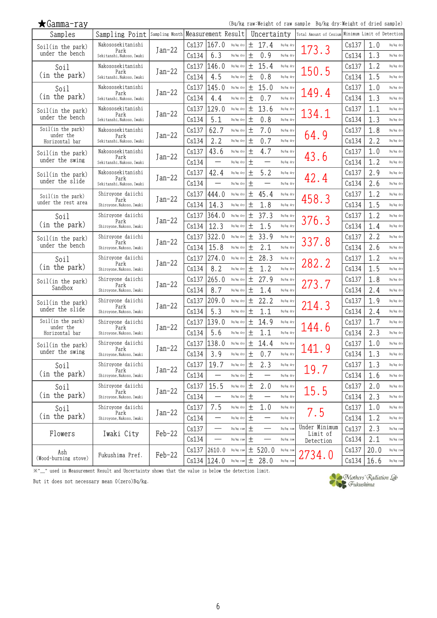| $\bigstar$ Gamma-ray           |                                                      |          |       |               |           |       |                          |           | (Bq/kg raw:Weight of raw sample Bq/kg dry:Weight of dried sample) |       |      |           |
|--------------------------------|------------------------------------------------------|----------|-------|---------------|-----------|-------|--------------------------|-----------|-------------------------------------------------------------------|-------|------|-----------|
| Samples                        | Sampling Point   Sampling Month   Measurement Result |          |       |               |           |       | Uncertainty              |           | Total Amount of Cesium Minimum Limit of Detection                 |       |      |           |
| Soil(in the park)              | Nakososekitanishi<br>Park                            | $Jan-22$ | Cs137 | 167.0         | Bq/kg dry | 土     | 17.4                     | Bq/kg dry | 173.3                                                             | Cs137 | 1.0  | Bq/kg dry |
| under the bench                | Sekitanshi, Nakoso, Iwaki                            |          | Cs134 | 6.3           | Bq/kg dry | 土     | 0.9                      | Bq/kg dry |                                                                   | Cs134 | 1.3  | Bq/kg dry |
| Soil                           | Nakososekitanishi<br>Park                            | $Jan-22$ | Cs137 | 146.0         | Bq/kg dry | 土     | 15.4                     | Bq/kg dry | 150.5                                                             | Cs137 | 1.2  | Bq/kg dry |
| (in the park)                  | Sekitanshi, Nakoso, Iwaki                            |          | Cs134 | 4.5           | Bq/kg dry | 土     | 0.8                      | Bq/kg dry |                                                                   | Cs134 | 1.5  | Bq/kg dry |
| Soil                           | Nakososekitanishi<br>Park                            | Jan-22   | Cs137 | 145.0         | Bq/kg dry | 土     | 15.0                     | Bq/kg dry | 149.4                                                             | Cs137 | 1.0  | Bq/kg dry |
| (in the park)                  | Sekitanshi, Nakoso, Iwaki                            |          | Cs134 | 4.4           | Bq/kg dry | 土     | 0.7                      | Bq/kg dry |                                                                   | Cs134 | 1.3  | Bq/kg dry |
| Soil(in the park)              | Nakososekitanishi<br>Park                            | $Jan-22$ | Cs137 | 129.0         | Bq/kg dry | 土     | 13.6                     | Bq/kg dry | 134.1                                                             | Cs137 | 1.1  | Bq/kg dry |
| under the bench                | Sekitanshi, Nakoso, Iwaki                            |          | Cs134 | 5.1           | Bq/kg dry | 土     | 0.8                      | Bq/kg dry |                                                                   | Cs134 | 1.3  | Bq/kg dry |
| Soil(in the park)<br>under the | Nakososekitanishi<br>Park                            | $Jan-22$ | Cs137 | 62.7          | Bq/kg dry | 土     | 7.0                      | Bq/kg dry | 64.9                                                              | Cs137 | 1.8  | Bq/kg dry |
| Horizontal bar                 | Sekitanshi, Nakoso, Iwaki                            |          | Cs134 | 2.2           | Bq/kg dry | 土     | 0.7                      | Bq/kg dry |                                                                   | Cs134 | 2.2  | Bq/kg dry |
| Soil(in the park)              | Nakososekitanishi<br>Park                            | Jan-22   | Cs137 | 43.6          | Bq/kg dry | 土     | 4.7                      | Bq/kg dry | 43.6                                                              | Cs137 | 1.0  | Bq/kg dry |
| under the swing                | Sekitanshi, Nakoso, Iwaki                            |          | Cs134 |               | Bq/kg dry | 土     |                          | Bq/kg dry |                                                                   | Cs134 | 1.2  | Bq/kg dry |
| Soil(in the park)              | Nakososekitanishi<br>Park                            | $Jan-22$ | Cs137 | 42.4          | Bq/kg dry | 土     | 5.2                      | Bq/kg dry | 42.4                                                              | Cs137 | 2.9  | Bq/kg dry |
| under the slide                | Sekitanshi, Nakoso, Iwaki                            |          | Cs134 |               | Bq/kg dry | 土     |                          | Bq/kg dry |                                                                   | Cs134 | 2.6  | Bq/kg dry |
| Soil(in the park)              | Shiroyone daiichi<br>Park                            | $Jan-22$ | Cs137 | 444.0         | Bq/kg dry | 土     | 45.4                     | Bq/kg dry | 458.3                                                             | Cs137 | 1.2  | Bq/kg dry |
| under the rest area            | Shiroyone, Nakoso, Iwaki                             |          | Cs134 | 14.3          | Bq/kg dry | 土     | 1.8                      | Bq/kg dry |                                                                   | Cs134 | 1.5  | Bq/kg dry |
| Soil                           | Shiroyone daiichi<br>Park                            | $Jan-22$ | Cs137 | 364.0         | Bq/kg dry | 土     | 37.3                     | Bq/kg dry | 376.3                                                             | Cs137 | 1.2  | Bq/kg dry |
| (in the park)                  | Shiroyone, Nakoso, Iwaki                             |          | Cs134 | 12.3          | Bq/kg dry | 土     | 1.5                      | Bq/kg dry |                                                                   | Cs134 | 1.4  | Bq/kg dry |
| Soil(in the park)              | Shiroyone daiichi<br>Park                            | $Jan-22$ | Cs137 | 322.0         | Bq/kg dry | 土     | 33.9                     | Bq/kg dry | 337.8                                                             | Cs137 | 2.2  | Bq/kg dry |
| under the bench                | Shiroyone, Nakoso, Iwaki                             |          | Cs134 | 15.8          | Bq/kg dry | 土     | 2.1                      | Bq/kg dry |                                                                   | Cs134 | 2.6  | Bq/kg dry |
| Soil                           | Shiroyone daiichi<br>Park                            | $Jan-22$ | Cs137 | 274.0         | Bq/kg dry | 土     | 28.3                     | Bq/kg dry | 282.2                                                             | Cs137 | 1.2  | Bq/kg dry |
| (in the park)                  | Shiroyone, Nakoso, Iwaki                             |          | Cs134 | 8.2           | Bq/kg dry | 土     | 1.2                      | Bq/kg dry |                                                                   | Cs134 | 1.5  | Bq/kg dry |
| Soil(in the park)              | Shiroyone daiichi<br>Park                            | $Jan-22$ | Cs137 | 265.0         | Bq/kg dry | 土     | 27.9                     | Bq/kg dry | 273.7                                                             | Cs137 | 1.8  | Bq/kg dry |
| Sandbox                        | Shiroyone, Nakoso, Iwaki                             |          | Cs134 | 8.7           | Bq/kg dry | 土     | 1.4                      | Bq/kg dry |                                                                   | Cs134 | 2.4  | Bq/kg dry |
| Soil(in the park)              | Shiroyone daiichi<br>Park                            | Jan-22   | Cs137 | 209.0         | Bq/kg dry | 土     | 22.2                     | Bq/kg dry | 214.3                                                             | Cs137 | 1.9  | Bq/kg dry |
| under the slide                | Shiroyone, Nakoso, Iwaki                             |          | Cs134 | 5.3           | Bq/kg dry | 土     | 1.1                      | Bq/kg dry |                                                                   | Cs134 | 2.4  | Bq/kg dry |
| Soil(in the park)<br>under the | Shiroyone daiichi<br>Park                            | $Jan-22$ | Cs137 | 139.0         | Bq/kg dry | 土     | 14.9                     | Bq/kg dry | 144.6                                                             | Cs137 | 1.7  | Bq/kg dry |
| Horizontal bar                 | Shiroyone, Nakoso, Iwaki                             |          | Cs134 | 5.6           | Bq/kg dry | 土     | 1.1                      | Bq/kg dry |                                                                   | Cs134 | 2.3  | Bq/kg dry |
| Soil(in the park)              | Shiroyone daiichi<br>Park                            | $Jan-22$ |       | Cs137 138.0   | Bq/kg dry | 土     | 14.4                     | Bq/kg dry | 141.9                                                             | Cs137 | 1.0  | Bq/kg dry |
| under the swing                | Shiroyone, Nakoso, Iwaki                             |          | Cs134 | 3.9           | Bq/kg dry | 土     | 0.7                      | Bq/kg dry |                                                                   | Cs134 | 1.3  | Bq/kg dry |
| Soil                           | Shiroyone daiichi<br>Park                            | $Jan-22$ | Cs137 | 19.7          | Bq/kg dry | 土     | 2.3                      | Bq/kg dry | 19.7                                                              | Cs137 | 1.3  | Bq/kg dry |
| (in the park)                  | Shiroyone, Nakoso, Iwaki                             |          | Cs134 |               | Bq/kg dry | 土     |                          | Bq/kg dry |                                                                   | Cs134 | 1.6  | Bq/kg dry |
| Soil                           | Shiroyone daiichi<br>Park                            | $Jan-22$ | Cs137 | 15.5          | Bq/kg dry | 土     | 2.0                      | Bq/kg dry | 15.5                                                              | Cs137 | 2.0  | Bq/kg dry |
| (in the park)                  | Shiroyone, Nakoso, Iwaki                             |          | Cs134 | —             | Bq/kg dry | 土     | —                        | Bq/kg dry |                                                                   | Cs134 | 2.3  | Bq/kg dry |
| Soil                           | Shiroyone daiichi<br>Park                            | $Jan-22$ | Cs137 | 7.5           | Bq/kg dry | 土     | 1.0                      | Bq/kg dry | 7.5                                                               | Cs137 | 1.0  | Bq/kg dry |
| (in the park)                  | Shiroyone, Nakoso, Iwaki                             |          | Cs134 | —             | Bq/kg dry | 土     | $\overline{\phantom{0}}$ | Bq/kg dry |                                                                   | Cs134 | 1.2  | Bq/kg dry |
| Flowers                        | Iwaki City                                           | Feb-22   | Cs137 |               | Bq/kg raw | $\pm$ |                          | Bq/kg raw | Under Minimum<br>Limit of                                         | Cs137 | 2.3  | Bq/kg raw |
|                                |                                                      |          | Cs134 |               | Bq/kg raw | 土     |                          | Bq/kg raw | Detection                                                         | Cs134 | 2.1  | Bq/kg raw |
| Ash                            | Fukushima Pref.                                      | Feb-22   |       | Cs137 2610.0  | Bq/kg raw |       | ± 520.0                  | Bq/kg raw | 2734.0                                                            | Cs137 | 20.0 | Bq/kg raw |
| (Wood-burning stove)           |                                                      |          |       | Cs134   124.0 | Bq/kg raw |       | $\pm$ 28.0               | Bq/kg raw |                                                                   | Cs134 | 16.6 | Bq/kg raw |

※"\_" used in Measurement Result and Uncertainty shows that the value is below the detection limit.

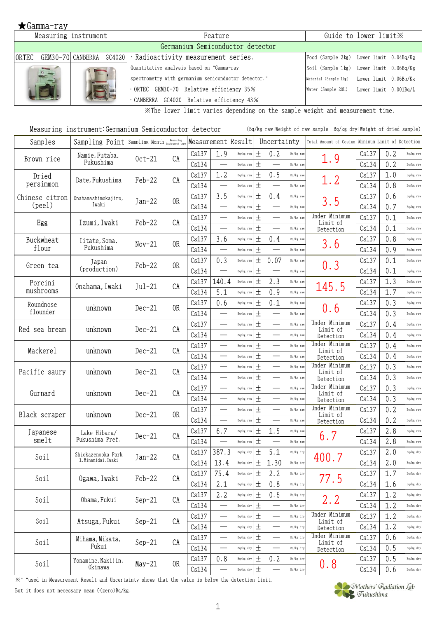|                       | Measuring instrument | Feature                                                          | Guide to lower limit X                      |
|-----------------------|----------------------|------------------------------------------------------------------|---------------------------------------------|
|                       |                      | Germanium Semiconductor detector                                 |                                             |
| IORTEC                |                      | $GEM30-70$ CANBERRA $GC4020$ · Radioactivity measurement series. | Food (Sample 2kg) Lower limit 0.04Bq/Kg     |
| <b>Sider</b><br>D 111 |                      | Quantitative analysis based on "Gamma-ray                        | Soil (Sample 1kg) Lower limit 0.06Bq/Kg     |
|                       |                      | spectrometry with germanium semiconductor detector."             | Material (Sample 1kg) Lower limit 0.06Bq/Kg |
|                       |                      | ORTEC GEM30-70 Relative efficiency 35%                           | Water (Sample 20L) Lower limit 0.001Bq/L    |
|                       |                      | CANBERRA GC4020 Relative efficiency 43%                          |                                             |

※The lower limit varies depending on the sample weight and measurement time.

| Measuring instrument:Germanium Semiconductor detector | (Bq/kg raw:Weight of raw sample Bq/kg dry:Weight of dried sample) |
|-------------------------------------------------------|-------------------------------------------------------------------|
|-------------------------------------------------------|-------------------------------------------------------------------|

| Samples         | Sampling Point      | Sampling Month | Measuring      |       | Measurement Result               |                      |       | Uncertainty                     |           | Total Amount of Cesium    | Minimum Limit of Detection |     |           |
|-----------------|---------------------|----------------|----------------|-------|----------------------------------|----------------------|-------|---------------------------------|-----------|---------------------------|----------------------------|-----|-----------|
| Brown rice      | Namie, Futaba,      | $0ct-21$       | CA             | Cs137 | 1.9                              | Bq/kg raw            | $\pm$ | 0.2                             | Bq/kg raw | 1.9                       | Cs137                      | 0.2 | Bq/kg raw |
|                 | Fukushima           |                |                | Cs134 |                                  | Bq/kg raw            | $\pm$ |                                 | Bq/kg raw |                           | Cs134                      | 0.2 | Bq/kg raw |
| Dried           | Date, Fukushima     | $Feb-22$       | CA             | Cs137 | 1.2                              | Bq/kg raw            | 土     | 0.5                             | Bq/kg raw | 1.2                       | Cs137                      | 1.0 | Bq/kg raw |
| persimmon       |                     |                |                | Cs134 |                                  | Bq/kg raw            | $\pm$ | $\overbrace{\qquad \qquad }^{}$ | Bq/kg raw |                           | Cs134                      | 0.8 | Bq/kg raw |
| Chinese citron  | Onahamashimokajiro, | $Jan-22$       | 0R             | Cs137 | 3.5                              | Bq/kg raw            | 土     | 0.4                             | Bq/kg raw | 3.5                       | Cs137                      | 0.6 | Bq/kg raw |
| $(\text{peel})$ | Iwaki               |                |                | Cs134 | $\overbrace{\qquad \qquad }^{}$  | Bq/kg raw            | 土     | $\overbrace{\qquad \qquad }^{}$ | Bq/kg raw |                           | Cs134                      | 0.7 | Bq/kg raw |
|                 | Izumi, Iwaki        | Feb-22         | CA             | Cs137 |                                  | Bq/kg raw            | $\pm$ |                                 | Bq/kg raw | Under Minimum<br>Limit of | Cs137                      | 0.1 | Bq/kg raw |
| Egg             |                     |                |                | Cs134 | $\overbrace{\qquad \qquad }^{ }$ | Bq/kg raw            | $\pm$ |                                 | Bq/kg raw | Detection                 | Cs134                      | 0.1 | Bq/kg raw |
| Buckwheat       | Iitate, Soma,       | $Nov-21$       | 0 <sub>R</sub> | Cs137 | 3.6                              | Bq/kg raw            | $\pm$ | 0.4                             | Bq/kg raw |                           | Cs137                      | 0.8 | Bq/kg raw |
| flour           | Fukushima           |                |                | Cs134 |                                  | Bq/kg raw            | $\pm$ | $\overbrace{\qquad \qquad }^{}$ | Bq/kg raw | 3.6                       | Cs134                      | 0.9 | Bq/kg raw |
|                 | Japan               |                | 0R             | Cs137 | 0.3                              | Bq/kg raw            | $\pm$ | 0.07                            | Bq/kg raw |                           | Cs137                      | 0.1 | Bq/kg raw |
| Green tea       | (production)        | $Feb-22$       |                | Cs134 | $\overline{\phantom{a}}$         | Bq/kg raw            | 土     |                                 | Bq/kg raw | 0.3                       | Cs134                      | 0.1 | Bq/kg raw |
| Porcini         |                     |                |                | Cs137 | 140.4                            | Bq/kg raw            | $\pm$ | 2.3                             | Bq/kg raw |                           | Cs137                      | 1.3 | Bq/kg raw |
| mushrooms       | Onahama, Iwaki      | $Jul-21$       | CA             | Cs134 | 5.1                              | Bq/kg raw            | 土     | 0.9                             | Bq/kg raw | 145.5                     | Cs134                      | 1.7 | Bq/kg raw |
| Roundnose       |                     |                |                | Cs137 | 0.6                              | Bq/kg raw            | $\pm$ | 0.1                             | Bq/kg raw |                           | Cs137                      | 0.3 | Bq/kg raw |
| flounder        | unknown             | $Dec-21$       | 0R             | Cs134 | $\overbrace{\qquad \qquad }^{}$  | Bq/kg raw            | $\pm$ |                                 | Bq/kg raw | 0.6                       | Cs134                      | 0.3 | Bq/kg raw |
|                 |                     |                |                | Cs137 |                                  | Bq/kg raw            | $\pm$ | $\overline{\phantom{0}}$        | Bq/kg raw | Under Minimum             | Cs137                      | 0.4 | Bq/kg raw |
| Red sea bream   | unknown             | $Dec-21$       | CA             | Cs134 | $\overbrace{\qquad \qquad }^{ }$ | Bq/kg raw            | $\pm$ |                                 | Bq/kg raw | Limit of<br>Detection     | Cs134                      | 0.4 | Bq/kg raw |
|                 |                     |                |                | Cs137 |                                  | Bq/kg raw            | 土     |                                 | Bq/kg raw | Under Minimum             | Cs137                      | 0.4 | Bq/kg raw |
| Mackerel        | unknown             | $Dec-21$       | CA             | Cs134 |                                  | Bq/kg raw            | $\pm$ |                                 | Bq/kg raw | Limit of<br>Detection     | Cs134                      | 0.4 | Bq/kg raw |
|                 |                     |                |                | Cs137 | $\qquad \qquad$                  | Bq/kg raw            | $\pm$ | $\qquad \qquad$                 | Bq/kg raw | Under Minimum             | Cs137                      | 0.3 | Bq/kg raw |
| Pacific saury   | unknown             | $Dec-21$       | CA             | Cs134 | $\overbrace{\qquad \qquad }^{ }$ | Bq/kg raw            | $\pm$ | $\overbrace{\phantom{13333}}$   | Bq/kg raw | Limit of<br>Detection     | Cs134                      | 0.3 | Bq/kg raw |
|                 |                     |                |                | Cs137 | $\overbrace{\qquad \qquad }^{}$  | Bq/kg raw            | $\pm$ |                                 | Bq/kg raw | Under Minimum             | Cs137                      | 0.3 | Bq/kg raw |
| Gurnard         | unknown             | $Dec-21$       | CA             | Cs134 | $\overline{\phantom{0}}$         | Bq/kg raw            | $\pm$ | $\overline{\phantom{0}}$        | Bq/kg raw | Limit of<br>Detection     | Cs134                      | 0.3 | Bq/kg raw |
|                 |                     |                |                | Cs137 | $\overbrace{\qquad \qquad }^{ }$ | Bq/kg raw            | $\pm$ |                                 | Bq/kg raw | Under Minimum             | Cs137                      | 0.2 | Bq/kg raw |
| Black scraper   | unknown             | $Dec-21$       | 0 <sub>R</sub> | Cs134 |                                  | Bq/kg raw            | $\pm$ | $\overline{\phantom{0}}$        | Bq/kg raw | Limit of<br>Detection     | Cs134                      | 0.2 | Bq/kg raw |
| Japanese        | Lake Hibara/        |                |                | Cs137 | 6.7                              | Bq/kg raw            | $\pm$ | 1.5                             | Bq/kg raw |                           | Cs137                      | 2.8 | Bq/kg raw |
| smelt           | Fukushima Pref.     | $Dec-21$       | CA             | Cs134 | $\overbrace{\qquad \qquad }^{}$  | Bq/kg raw            | $\pm$ |                                 | Bq/kg raw | 6.7                       | Cs134                      | 2.8 | Bq/kg raw |
|                 | Shiokazenooka Park  |                |                | Cs137 | 387.3                            | Bq/kg dry            | $\pm$ | 5.1                             | Bq/kg dry |                           | Cs137                      | 2.0 | Bq/kg dry |
| Soil            | 1, Minamidai, Iwaki | $Jan-22$       | CA             | Cs134 | 13.4                             | $\mathtt{Bq/kg}$ dry | $\pm$ | 1.30                            | Bq/kg dry | 400.7                     | Cs134                      | 2.0 | Bq/kg dry |
|                 |                     |                |                | Cs137 | 75.4                             | Bq/kg dry            | 土     | 2.2                             | Bq/kg dry |                           | Cs137                      | 1.7 | Bq/kg dry |
| Soil            | Ogawa, Iwaki        | Feb-22         | CA             | Cs134 | 2.1                              | Bq/kg dry            | $\pm$ | 0.8                             | Bq/kg dry | 77.5                      | Cs134                      | 1.6 | Bq/kg dry |
|                 |                     |                |                | Cs137 | 2.2                              | $Bq/kg$ dry          | $\pm$ | 0.6                             | Bq/kg dry |                           | Cs137                      | 1.2 | Bq/kg dry |
| Soil            | Obama, Fukui        | $Sep-21$       | CA             | Cs134 | $\overline{\phantom{0}}$         | Bq/kg dry            | 土     |                                 | Bq/kg dry | 2.2                       | Cs134                      | 1.2 | Bq/kg dry |
|                 |                     |                |                | Cs137 |                                  | Bq/kg dry            | $\pm$ |                                 | Bq/kg dry | Under Minimum             | Cs137                      | 1.2 | Bq/kg dry |
| Soil            | Atsuga, Fukui       | $Sep-21$       | CA             | Cs134 |                                  | Bq/kg dry            | $\pm$ | $\overbrace{\phantom{13333}}$   | Bq/kg dry | Limit of<br>Detection     | Cs134                      | 1.2 | Bq/kg dry |
|                 | Mihama, Mikata,     |                |                | Cs137 |                                  | Bq/kg dry            | 土     |                                 | Bq/kg dry | Under Minimum             | Cs137                      | 0.6 | Bq/kg dry |
| Soil            | Fukui               | $Sep-21$       | CA             | Cs134 |                                  | $\mathtt{Bq/kg}$ dry | $\pm$ |                                 | Bq/kg dry | Limit of<br>Detection     | Cs134                      | 0.5 | Bq/kg dry |
|                 | Yonamine, Nakijin,  |                |                | Cs137 | 0.8                              | Bq/kg dry            | $\pm$ | 0.2                             | Bq/kg dry |                           | Cs137                      | 0.5 | Bq/kg dry |
| Soil            | Okinawa             | $May-21$       | 0R             | Cs134 |                                  | Bq/kg dry            | $\pm$ | $\overline{\phantom{0}}$        | Bq/kg dry | 0.8                       | Cs134                      | 0.6 | Bq/kg dry |

※"\_"used in Measurement Result and Uncertainty shows that the value is below the detection limit.

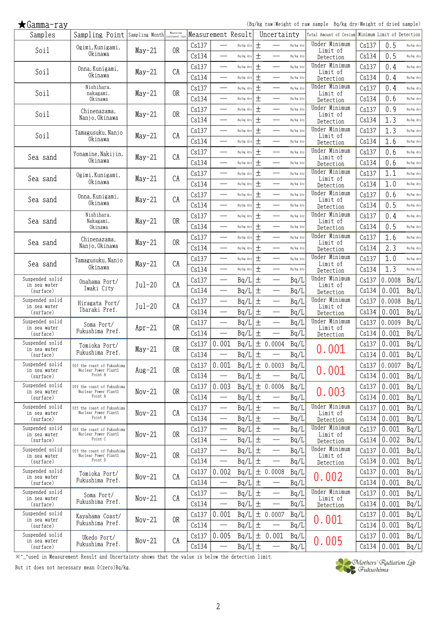(Bq/kg raw:Weight of raw sample Bq/kg dry:Weight of dried sample)

| Samples                         | Sampling Point Sampling Month Measuring            |          | Measuring      |       |                                  | Measurement Result |       | Uncertainty                       |           | Total Amount of Cesium     |       | Minimum Limit of Detection |           |
|---------------------------------|----------------------------------------------------|----------|----------------|-------|----------------------------------|--------------------|-------|-----------------------------------|-----------|----------------------------|-------|----------------------------|-----------|
| Soil                            | Ogimi, Kunigami,                                   |          | 0R             | Cs137 |                                  | Bq/kg dry          | $\pm$ |                                   | Bq/kg dry | Under Minimum<br>Limit of  | Cs137 | 0.5                        | Bq/kg dry |
|                                 | Okinawa                                            | $May-21$ |                | Cs134 | $\overline{\phantom{0}}$         | Bq/kg dry          | $\pm$ | —                                 | Bq/kg dry | Detection                  | Cs134 | 0.5                        | Bq/kg dry |
|                                 | Onna, Kunigami,                                    |          |                | Cs137 | $\overline{\phantom{0}}$         | Bq/kg dry          | $\pm$ | $\overline{\phantom{0}}$          | Bq/kg dry | Under Minimum              | Cs137 | 0.4                        | Bq/kg dry |
| Soil                            | Okinawa                                            | $May-21$ | CA             | Cs134 | $\overline{\phantom{0}}$         | Bq/kg dry          | $\pm$ |                                   | Bq/kg dry | Limit of<br>Detection      | Cs134 | 0.4                        | Bq/kg dry |
|                                 | Nishihara,                                         |          |                | Cs137 |                                  | Bq/kg dry          | $\pm$ |                                   | Bq/kg dry | Under Minimum              | Cs137 | 0.4                        | Bq/kg dry |
| Soil                            | nakagami,<br>Okinawa                               | $May-21$ | 0R             | Cs134 | $\overline{\phantom{0}}$         | Bq/kg dry          | $\pm$ |                                   | Bq/kg dry | Limit of                   | Cs134 | 0.6                        | Bq/kg dry |
|                                 |                                                    |          |                | Cs137 | $\qquad \qquad$                  | Bq/kg dry          | $\pm$ |                                   | Bq/kg dry | Detection<br>Under Minimum | Cs137 | 0.9                        | Bq/kg dry |
| Soil                            | Chinenazama,<br>Nanjo, Okinawa                     | $May-21$ | 0 <sub>R</sub> |       |                                  |                    |       |                                   |           | Limit of                   |       |                            |           |
|                                 |                                                    |          |                | Cs134 | $\overline{\phantom{0}}$         | Bq/kg dry          | $\pm$ | $\overline{\phantom{0}}$          | Bq/kg dry | Detection<br>Under Minimum | Cs134 | 1.3                        | Bq/kg dry |
| Soil                            | Tamagusuku, Nanjo                                  | $May-21$ | CA             | Cs137 |                                  | Bq/kg dry          | $\pm$ |                                   | Bq/kg dry | Limit of                   | Cs137 | 1.3                        | Bq/kg dry |
|                                 | Okinawa                                            |          |                | Cs134 | $\overline{\phantom{0}}$         | Bq/kg dry          | $\pm$ |                                   | Bq/kg dry | Detection                  | Cs134 | 1.6                        | Bq/kg dry |
| Sea sand                        | Yonamine, Nakijin,                                 | $May-21$ | CA             | Cs137 | $\overline{\phantom{0}}$         | Bq/kg dry          | $\pm$ |                                   | Bq/kg dry | Under Minimum<br>Limit of  | Cs137 | 0.6                        | Bq/kg dry |
|                                 | Okinawa                                            |          |                | Cs134 | $\frac{1}{1}$                    | Bq/kg dry          | $\pm$ |                                   | Bq/kg dry | Detection                  | Cs134 | 0.6                        | Bq/kg dry |
| Sea sand                        | Ogimi, Kunigami,                                   | $May-21$ | CA             | Cs137 | $\frac{1}{2}$                    | Bq/kg dry          | $\pm$ | $\overline{\phantom{0}}$          | Bq/kg dry | Under Minimum<br>Limit of  | Cs137 | 1.1                        | Bq/kg dry |
|                                 | Okinawa                                            |          |                | Cs134 |                                  | Bq/kg dry          | 土     |                                   | Bq/kg dry | Detection                  | Cs134 | 1.0                        | Bq/kg dry |
|                                 | Onna, Kunigami,                                    |          |                | Cs137 | $\overline{\phantom{0}}$         | Bq/kg dry          | $\pm$ | $\overline{\phantom{0}}$          | Bq/kg dry | Under Minimum              | Cs137 | 0.6                        | Bq/kg dry |
| Sea sand                        | Okinawa                                            | $May-21$ | CA             | Cs134 |                                  | Bq/kg dry          | $\pm$ |                                   | Bq/kg dry | Limit of<br>Detection      | Cs134 | 0.5                        | Bq/kg dry |
|                                 | Nishihara,                                         |          |                | Cs137 | $\overline{\phantom{0}}$         | Bq/kg dry          | $\pm$ |                                   | Bq/kg dry | Under Minimum              | Cs137 | 0.4                        | Bq/kg dry |
| Sea sand                        | Nakagami,<br>Okinawa                               | $May-21$ | 0R             | Cs134 | $\overline{\phantom{0}}$         | Bq/kg dry          | $\pm$ | $\overline{\phantom{0}}$          | Bq/kg dry | Limit of<br>Detection      | Cs134 | 0.5                        | Bq/kg dry |
|                                 |                                                    |          |                | Cs137 |                                  | Bq/kg dry          | $\pm$ |                                   | Bq/kg dry | Under Minimum              | Cs137 | 1.6                        | Bq/kg dry |
| Sea sand                        | Chinenazama,<br>Nanjo, Okinawa                     | $May-21$ | 0R             |       | $\overline{\phantom{0}}$         |                    | 土     |                                   |           | Limit of                   |       | 2.3                        | Bq/kg dry |
|                                 |                                                    |          |                | Cs134 |                                  | Bq/kg dry          |       | $\overline{\phantom{0}}$          | Bq/kg dry | Detection<br>Under Minimum | Cs134 |                            |           |
| Sea sand                        | Tamagusuku, Nanjo<br>Okinawa                       | $May-21$ | CA             | Cs137 | $\qquad \qquad$                  | Bq/kg dry          | $\pm$ |                                   | Bq/kg dry | Limit of                   | Cs137 | 1.0                        | Bq/kg dry |
|                                 |                                                    |          |                | Cs134 | $\qquad \qquad$                  | Bq/kg dry          | $\pm$ |                                   | Bq/kg dry | Detection                  | Cs134 | 1.3                        | Bq/kg dry |
| Suspended solid<br>in sea water | Onahama Port/                                      | $Jul-20$ | CA             | Cs137 |                                  | Bq/L               | $\pm$ |                                   | Bq/L      | Under Minimum<br>Limit of  | Cs137 | 0.0008                     | Bq/L      |
| (surface)                       | Iwaki City                                         |          |                | Cs134 |                                  | Bq/L               | $\pm$ |                                   | Bq/L      | Detection                  | Cs134 | 0.001                      | Bq/L      |
| Suspended solid<br>in sea water | Hiragata Port/                                     | $Jul-20$ | CA             | Cs137 | $\overline{\phantom{0}}$         | Bq/L               | $\pm$ |                                   | Bq/L      | Under Minimum<br>Limit of  | Cs137 | 0.0008                     | Bq/L      |
| (surface)                       | Ibaraki Pref.                                      |          |                | Cs134 | $\overline{\phantom{0}}$         | Bq/L               | $\pm$ | $\overbrace{\phantom{13333}}$     | Bq/L      | Detection                  | Cs134 | 0.001                      | Bq/L      |
| Suspended solid                 | Soma Port/                                         |          |                | Cs137 | $\overline{\phantom{0}}$         | Bq/L               | $\pm$ | $\overline{\phantom{0}}$          | Bq/L      | Under Minimum              | Cs137 | 0.0009                     | Bq/L      |
| in sea water<br>(surface)       | Fukushima Pref.                                    | $Apr-21$ | 0R             | Cs134 |                                  | Bq/L               | $\pm$ |                                   | Bq/L      | Limit of<br>Detection      | Cs134 | 0.001                      | Bq/L      |
| Suspended solid                 | Tomioka Port/                                      |          |                | Cs137 | 0.001                            | Bq/L               |       | ± 0.0004                          | Bq/L      |                            | Cs137 | 0.001                      | Bq/L      |
| in sea water<br>(surface)       | Fukushima Pref.                                    | $May-21$ | 0R             | Cs134 | $\overline{\phantom{0}}$         | Bq/L               | 土     |                                   | Bq/L      | 0.001                      | Cs134 | 0.001                      | Bq/L      |
| Suspended solid                 | Off the coast of Fukushima                         |          |                | Cs137 | 0.001                            | Bq/L               |       | ± 0.0003                          | Bq/L      |                            | Cs137 | 0.0007                     | Bq/L      |
| in sea water<br>(surface)       | Nuclear Power Plant1<br>Point A                    | $Aug-21$ | 0R             | Cs134 | $\overline{\phantom{0}}$         | Bq/L               | $\pm$ |                                   | Bq/L      | 0.001                      | Cs134 | 0.001                      | Bq/L      |
| Suspended solid                 | Off the coast of Fukushima                         |          |                |       |                                  |                    |       |                                   |           |                            |       |                            |           |
| in sea water                    | Nuclear Power Plant1<br>Point A                    | $Nov-21$ | 0 <sub>R</sub> | Cs137 | 0.003                            | Bq/L               |       | ± 0.0006                          | Bq/L      | 0.003                      | Cs137 | 0.001                      | Bq/L      |
| (surface)                       |                                                    |          |                | Cs134 | $\overline{\phantom{0}}$         | Bq/L               | $\pm$ |                                   | Bq/L      | Under Minimum              | Cs134 | 0.001                      | Bq/L      |
| Suspended solid<br>in sea water | Off the coast of Fukushima<br>Nuclear Power Plant1 | $Nov-21$ | CA             | Cs137 |                                  | Bq/L               | $\pm$ |                                   | Bq/L      | Limit of                   | Cs137 | 0.001                      | Bq/L      |
| (surface)                       | Point B                                            |          |                | Cs134 |                                  | Bq/L               | $\pm$ |                                   | Bq/L      | Detection                  | Cs134 | 0.001                      | Bq/L      |
| Suspended solid<br>in sea water | Off the coast of Fukushima<br>Nuclear Power Plant1 | $Nov-21$ | 0R             | Cs137 |                                  | Bq/L               | 土     |                                   | Bq/L      | Under Minimum<br>Limit of  | Cs137 | 0.001                      | Bq/L      |
| (surface)                       | Point C                                            |          |                | Cs134 | $\overbrace{\qquad \qquad }^{ }$ | Bq/L               | $\pm$ | $\overline{\phantom{0}}$          | Bq/L      | Detection                  | Cs134 | 0.002                      | Bq/L      |
| Suspended solid<br>in sea water | Off the coast of Fukushima<br>Nuclear Power Plant1 | $Nov-21$ | 0R             | Cs137 |                                  | Bq/L               | $\pm$ |                                   | Bq/L      | Under Minimum<br>Limit of  | Cs137 | 0.001                      | Bq/L      |
| (surface)                       | Point D                                            |          |                | Cs134 |                                  | Bq/L               | $\pm$ | $\overbrace{\phantom{123221111}}$ | Bq/L      | Detection                  | Cs134 | 0.001                      | Bq/L      |
| Suspended solid                 | Tomioka Port/                                      |          |                | Cs137 | 0.002                            | Bq/L               |       | ± 0.0008                          | Bq/L      |                            | Cs137 | 0.001                      | Bq/L      |
| in sea water<br>(surface)       | Fukushima Pref.                                    | $Nov-21$ | CA             | Cs134 |                                  | Bq/L               | 土     |                                   | Bq/L      | 0.002                      | Cs134 | 0.001                      | Bq/L      |
| Suspended solid                 | Soma Port/                                         |          |                | Cs137 | $\overline{\phantom{0}}$         | Bq/L               | $\pm$ |                                   | Bq/L      | Under Minimum              | Cs137 | 0.001                      | Bq/L      |
| in sea water<br>(surface)       | Fukushima Pref.                                    | $Nov-21$ | CA             | Cs134 |                                  | Bq/L               | 土     |                                   | Bq/L      | Limit of<br>Detection      | Cs134 | 0.001                      | Bq/L      |
| Suspended solid                 |                                                    |          |                | Cs137 | 0.001                            | Bq/L               |       | ± 0.0007                          | Bq/L      |                            | Cs137 | 0.001                      | Bq/L      |
| in sea water                    | Kayahama Coast/<br>Fukushima Pref.                 | $Nov-21$ | 0R             | Cs134 | $\overline{\phantom{0}}$         | Bq/L               | $\pm$ | $\overline{\phantom{0}}$          | Bq/L      | 0.001                      | Cs134 | 0.001                      | Bq/L      |
| (surface)<br>Suspended solid    |                                                    |          |                |       |                                  |                    |       |                                   |           |                            |       |                            |           |
| in sea water                    | Ukedo Port/<br>Fukushima Pref.                     | $Nov-21$ | CA             | Cs137 | 0.005                            | Bq/L               |       | ± 0.001                           | Bq/L      | 0.005                      | Cs137 | 0.001                      | Bq/L      |
| (surface)                       |                                                    |          |                | Cs134 |                                  | Bq/L               | $\pm$ |                                   | Bq/L      |                            | Cs134 | 0.001                      | Bq/L      |

※"\_"used in Measurement Result and Uncertainty shows that the value is below the detection limit.

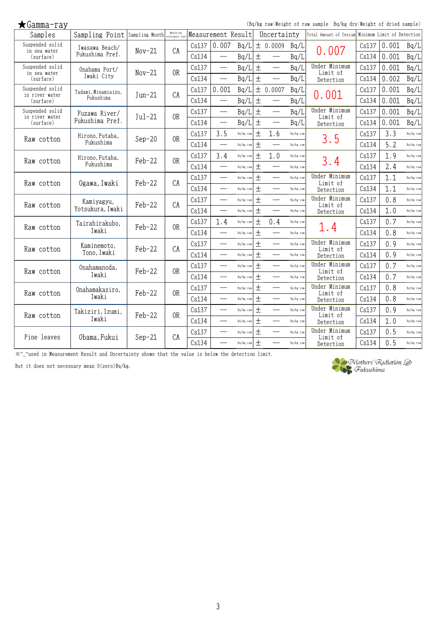| $\bigstar$ Gamma-ray        |                               |          |                             |       |                          |           |       |                                  |           | (Bq/kg raw:Weight of raw sample Bq/kg dry:Weight of dried sample) |       |                            |           |
|-----------------------------|-------------------------------|----------|-----------------------------|-------|--------------------------|-----------|-------|----------------------------------|-----------|-------------------------------------------------------------------|-------|----------------------------|-----------|
| Samples                     | Sampling Point Sampling Month |          | Measuring<br>instrument typ |       | Measurement Result       |           |       | Uncertainty                      |           | Total Amount of Cesium                                            |       | Minimum Limit of Detection |           |
| Suspended solid             | Iwasawa Beach/                | $Nov-21$ | CA                          | Cs137 | 0.007                    | Bq/L      |       | ± 0.0009                         | Bq/L      |                                                                   | Cs137 | 0.001                      | Bq/L      |
| in sea water<br>(surface)   | Fukushima Pref.               |          |                             | Cs134 |                          | Bq/L      | $\pm$ | $\overline{\phantom{0}}$         | Bq/L      | 0.007                                                             | Cs134 | 0.001                      | Bq/L      |
| Suspended solid             | Onahama Port/                 | $Nov-21$ | 0 <sub>R</sub>              | Cs137 |                          | Bq/L      | $\pm$ |                                  | Bq/L      | Under Minimum                                                     | Cs137 | 0.001                      | Bq/L      |
| in sea water<br>(surface)   | Iwaki City                    |          |                             | Cs134 |                          | Bq/L      | $\pm$ | $\overline{\phantom{m}}$         | Bq/L      | Limit of<br>Detection                                             | Cs134 | 0.002                      | Bq/L      |
| Suspended solid             | Tadami, Minamiaizu,           |          |                             | Cs137 | 0.001                    | Bq/L      |       | ± 0.0007                         | Bq/L      |                                                                   | Cs137 | 0.001                      | Bq/L      |
| in river water<br>(surface) | Fukushima                     | $Jun-21$ | CA                          | Cs134 |                          | Bq/L      | $\pm$ |                                  | Bq/L      | 0.001                                                             | Cs134 | 0.001                      | Bq/L      |
| Suspended solid             | Fuzawa River/                 |          |                             | Cs137 |                          | Bq/L      | $\pm$ |                                  | Bq/L      | Under Minimum                                                     | Cs137 | 0.001                      | Bq/L      |
| in river water<br>(surface) | Fukushima Pref.               | $Jul-21$ | 0 <sub>R</sub>              | Cs134 |                          | Bq/L      | 土     | $\overbrace{\qquad \qquad }^{ }$ | Bq/L      | Limit of<br>Detection                                             | Cs134 | 0.001                      | Bq/L      |
|                             | Hirono, Futaba,               |          |                             | Cs137 | 3.5                      | Bq/kg raw | $\pm$ | 1.6                              | Bq/kg raw |                                                                   | Cs137 | 3.3                        | Bq/kg raw |
| Raw cotton                  | Fukushima                     | $Sep-20$ | 0R                          | Cs134 |                          | Bq/kg raw | $\pm$ |                                  | Bq/kg raw | 3.5                                                               | Cs134 | 5.2                        | Bq/kg raw |
|                             | Hirono, Futaba,               |          |                             | Cs137 | 3.4                      | Bq/kg raw | 土     | 1.0                              | Bq/kg raw |                                                                   | Cs137 | 1.9                        | Bq/kg raw |
| Raw cotton                  | Fukushima                     | $Feb-22$ | 0 <sub>R</sub>              | Cs134 | $\overline{\phantom{0}}$ | Bq/kg raw | $\pm$ |                                  | Bq/kg raw | 3.4                                                               | Cs134 | 2.4                        | Bq/kg raw |
|                             | Ogawa, Iwaki                  | $Feb-22$ | CA                          | Cs137 | $\overline{\phantom{0}}$ | Bq/kg raw | $\pm$ |                                  | Bq/kg rav | Under Minimum                                                     | Cs137 | 1.1                        | Bq/kg raw |
| Raw cotton                  |                               |          |                             | Cs134 | $\qquad \qquad$          | Bq/kg raw | $\pm$ |                                  | Bq/kg raw | Limit of<br>Detection                                             | Cs134 | 1.1                        | Bq/kg raw |
|                             | Kamiyagyu,                    |          |                             | Cs137 |                          | Bq/kg raw | $\pm$ |                                  | Bq/kg raw | Under Minimum                                                     | Cs137 | 0.8                        | Bq/kg raw |
| Raw cotton                  | Yotsukura, Iwaki              | $Feb-22$ | CA                          | Cs134 |                          | Bq/kg raw | $\pm$ |                                  | Bq/kg raw | Limit of<br>Detection                                             | Cs134 | 1.0                        | Bq/kg raw |
|                             | Tairahirakubo,                | $Feb-22$ | 0 <sub>R</sub>              | Cs137 | 1.4                      | Bq/kg raw | $\pm$ | 0.4                              | Bq/kg raw |                                                                   | Cs137 | 0.7                        | Bq/kg raw |
| Raw cotton                  | Iwaki                         |          |                             | Cs134 |                          | Bq/kg raw | $\pm$ | $\qquad \qquad$                  | Bq/kg raw | 1.4                                                               | Cs134 | 0.8                        | Bq/kg raw |
|                             | Kaminemoto,                   |          |                             | Cs137 |                          | Bq/kg raw | $\pm$ | $\qquad \qquad$                  | Bq/kg raw | Under Minimum                                                     | Cs137 | 0.9                        | Bq/kg raw |
| Raw cotton                  | Tono, Iwaki                   | $Feb-22$ | CA                          | Cs134 | $\overline{\phantom{0}}$ | Bq/kg raw | $+$   | $\qquad \qquad$                  | Bq/kg raw | Limit of<br>Detection                                             | Cs134 | 0.9                        | Bq/kg raw |
|                             | Onahamanoda,                  | $Feb-22$ | 0R                          | Cs137 |                          | Bq/kg raw | $\pm$ |                                  | Bq/kg rav | Under Minimum                                                     | Cs137 | 0.7                        | Bq/kg raw |
| Raw cotton                  | Iwaki                         |          |                             | Cs134 |                          | Bq/kg raw | $\pm$ |                                  | Bq/kg rav | Limit of<br>Detection                                             | Cs134 | 0.7                        | Bq/kg raw |
|                             | Onahamakaziro,                |          | 0R                          | Cs137 | $\overline{\phantom{0}}$ | Bq/kg raw | $\pm$ |                                  | Bq/kg rav | Under Minimum                                                     | Cs137 | 0.8                        | Bq/kg raw |
| Raw cotton                  | Iwaki                         | $Feb-22$ |                             | Cs134 | $\overline{\phantom{0}}$ | Bq/kg raw | $+$   | $\overline{\phantom{0}}$         | Bq/kg raw | Limit of<br>Detection                                             | Cs134 | 0.8                        | Bq/kg raw |
|                             | Takiziri, Izumi,              |          |                             | Cs137 |                          | Bq/kg raw | $\pm$ |                                  | Bq/kg raw | Under Minimum                                                     | Cs137 | 0.9                        | Bq/kg raw |
| Raw cotton                  | Iwaki                         | Feb-22   | 0R                          | Cs134 | $\overline{\phantom{0}}$ | Bq/kg raw | $\pm$ | $\qquad \qquad$                  | Bq/kg raw | Limit of<br>Detection                                             | Cs134 | 1.0                        | Bq/kg raw |
|                             |                               |          |                             | Cs137 | $\overline{\phantom{0}}$ | Bq/kg raw | 土     |                                  | Bq/kg raw | Under Minimum                                                     | Cs137 | 0.5                        | Bq/kg raw |
| Pine leaves                 | Obama, Fukui                  | $Sep-21$ | CA                          | Cs134 |                          | Bq/kg raw | $\pm$ |                                  | Bq/kg raw | Limit of<br>Detection                                             | Cs134 | 0.5                        | Bq/kg raw |

※"\_"used in Measurement Result and Uncertainty shows that the value is below the detection limit.

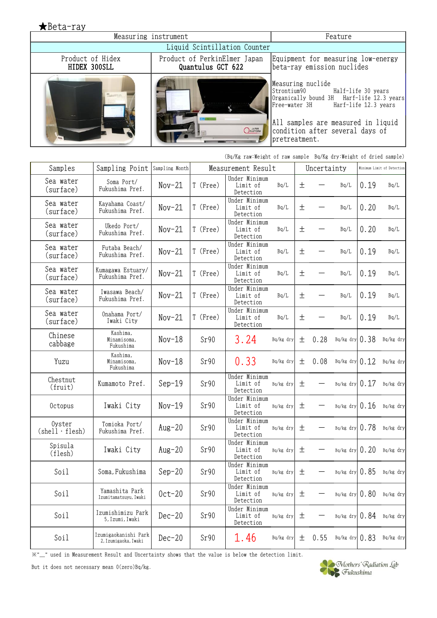| $\bigstar$ Beta-ray              |                                                   |                                                                                                                                                                                                |
|----------------------------------|---------------------------------------------------|------------------------------------------------------------------------------------------------------------------------------------------------------------------------------------------------|
| Measuring instrument             | Feature                                           |                                                                                                                                                                                                |
|                                  | Liquid Scintillation Counter                      |                                                                                                                                                                                                |
| Product of Hidex<br>HIDEX 300SLL | Product of PerkinElmer Japan<br>Quantulus GCT 622 | Equipment for measuring low-energy<br>beta-ray emission nuclides                                                                                                                               |
|                                  | <i>DPLATFORM</i>                                  | Measuring nuclide<br>Organically bound 3H Harf-life 12.3 years<br>Free-water 3H Harf-life 12.3 years<br>All samples are measured in liquid<br>condition after several days of<br>pretreatment. |

|                                 | (Bq/Kg raw:Weight of raw sample Bq/Kg dry:Weight of dried sample) |                |          |                                        |           |       |             |                    |                            |             |  |
|---------------------------------|-------------------------------------------------------------------|----------------|----------|----------------------------------------|-----------|-------|-------------|--------------------|----------------------------|-------------|--|
| Samples                         | Sampling Point                                                    | Sampling Month |          | Measurement Result                     |           |       | Uncertainty |                    | Minimum Limit of Detection |             |  |
| Sea water<br>(surface)          | Soma Port/<br>Fukushima Pref.                                     | $Nov-21$       | T (Free) | Under Minimum<br>Limit of<br>Detection | Bq/L      | 土     |             | Bq/L               | 0.19                       | Bq/L        |  |
| Sea water<br>(surface)          | Kayahama Coast/<br>Fukushima Pref.                                | $Nov-21$       | T (Free) | Under Minimum<br>Limit of<br>Detection | Bq/L      | $\pm$ |             | Bq/L               | 0.20                       | Bq/L        |  |
| Sea water<br>(surface)          | Ukedo Port/<br>Fukushima Pref.                                    | $Nov-21$       | T (Free) | Under Minimum<br>Limit of<br>Detection | Bq/L      | $\pm$ |             | Bq/L               | 0.20                       | Bq/L        |  |
| Sea water<br>(surface)          | Futaba Beach/<br>Fukushima Pref.                                  | $Nov-21$       | T (Free) | Under Minimum<br>Limit of<br>Detection | Bq/L      | $\pm$ |             | Bq/L               | 0.19                       | Bq/L        |  |
| Sea water<br>(surface)          | Kumagawa Estuary/<br>Fukushima Pref.                              | $Nov-21$       | T (Free) | Under Minimum<br>Limit of<br>Detection | Bq/L      | $\pm$ |             | Bq/L               | 0.19                       | Bq/L        |  |
| Sea water<br>(surface)          | Iwasawa Beach/<br>Fukushima Pref.                                 | $Nov-21$       | T (Free) | Under Minimum<br>Limit of<br>Detection | Bq/L      | $\pm$ |             | Bq/L               | 0.19                       | Bq/L        |  |
| Sea water<br>(surface)          | Onahama Port/<br>Iwaki City                                       | $Nov-21$       | T (Free) | Under Minimum<br>Limit of<br>Detection | Bq/L      | 土     |             | Bq/L               | 0.19                       | Bq/L        |  |
| Chinese<br>cabbage              | Kashima,<br>Minamisoma,<br>Fukushima                              | $Nov-18$       | Sr90     | 3.24                                   | Bq/kg dry | 土     | 0.28        | $Bq/kg$ dry $0.38$ |                            | Bq/kg dry   |  |
| Yuzu                            | Kashima,<br>Minamisoma,<br>Fukushima                              | $Nov-18$       | Sr90     | 0.33                                   | Bq/kg dry | 土     | 0.08        | Bq/kg dry $0.12$   |                            | Bq/kg dry   |  |
| Chestnut<br>(fruit)             | Kumamoto Pref.                                                    | $Sep-19$       | Sr90     | Under Minimum<br>Limit of<br>Detection | Bq/kg dry | 土     |             | $Bq/kg$ dry $0.17$ |                            | Bq/kg dry   |  |
| Octopus                         | Iwaki City                                                        | $Nov-19$       | Sr90     | Under Minimum<br>Limit of<br>Detection | Bq/kg dry | 土     |             | $Bq/kg$ dry $0.16$ |                            | Bq/kg dry   |  |
| Oyster<br>$(shell \cdot flesh)$ | Tomioka Port/<br>Fukushima Pref.                                  | $Aug-20$       | Sr90     | Under Minimum<br>Limit of<br>Detection | Bq/kg dry | 土     |             | $Bq/kg$ dry $0.78$ |                            | Bq/kg dry   |  |
| Spisula<br>(flesh)              | Iwaki City                                                        | Aug $-20$      | Sr90     | Under Minimum<br>Limit of<br>Detection | Bq/kg dry | 土     |             | $Bq/kg$ dry $0.20$ |                            | $Bq/kg$ dry |  |
| Soil                            | Soma, Fukushima                                                   | $Sep-20$       | Sr90     | Under Minimum<br>Limit of<br>Detection | Bq/kg dry | 土     |             | $Bq/kg$ dry $0.85$ |                            | $Bq/kg$ dry |  |
| Soil                            | Yamashita Park<br>Izumitamatsuyu, Iwaki                           | $0ct-20$       | Sr90     | Under Minimum<br>Limit of<br>Detection | Bq/kg dry | 土     |             | $Bq/kg$ dry $0.80$ |                            | Bq/kg dry   |  |
| Soil                            | Izumishimizu Park<br>5, Izumi, Iwaki                              | $Dec-20$       | Sr90     | Under Minimum<br>Limit of<br>Detection | Bq/kg dry | 土     |             | $Bq/kg$ dry $0.84$ |                            | Bq/kg dry   |  |
| Soil                            | Izumigaokanishi Park<br>2,Izumigaoka,Iwaki                        | $Dec-20$       | Sr90     | 1.46                                   | Bq/kg dry | 土     | 0.55        | Bq/kg dry $0.83$   |                            | Bq/kg dry   |  |

\*"\_" used in Measurement Result and Uncertainty shows that the value is below the detection limit.<br>But it does not necessary mean 0(zero)Bq/kg.<br>Fukushima

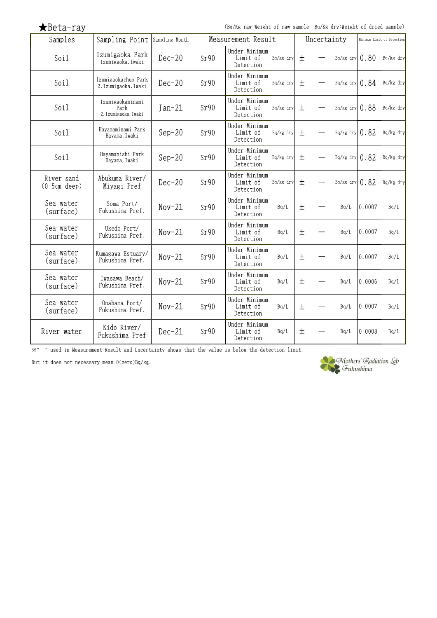|  |  | $\bigstar$ Beta-ray |  |  |
|--|--|---------------------|--|--|
|--|--|---------------------|--|--|

(Bq/Kg raw:Weight of raw sample Bq/Kg dry:Weight of dried sample)

| Samples                      | Sampling Point                                   | Sampling Month | Measurement Result |                                        | Uncertainty              | Minimum Limit of Detection |  |                    |        |           |
|------------------------------|--------------------------------------------------|----------------|--------------------|----------------------------------------|--------------------------|----------------------------|--|--------------------|--------|-----------|
| Soil                         | Izumigaoka Park<br>Izumigaoka, Iwaki             | $Dec-20$       | Sr90               | Under Minimum<br>Limit of<br>Detection | Bq/kg dry                | 土                          |  | $Bq/kg$ dry $0.80$ |        | Bq/kg dry |
| Soil                         | Izumigaokachuo Park<br>2, Izumigaoka, Iwaki      | $Dec-20$       | Sr90               | Under Minimum<br>Limit of<br>Detection | Bq/kg dry                | 土                          |  | Bq/kg dry $0.84$   |        | Bq/kg dry |
| Soil                         | Izumigaokaminami<br>Park<br>2, Izumigaoka, Iwaki | $Jan-21$       | Sr90               | Under Minimum<br>Limit of<br>Detection | Bq/kg dry                | 土                          |  | $Bq/kg$ dry $0.88$ |        | Bq/kg dry |
| Soil                         | Hayamaminami Park<br>Hayama, Iwaki               | $Sep-20$       | Sr90               | Under Minimum<br>Limit of<br>Detection | Bq/kg dry                | 土                          |  | Bq/kg dry $0.82$   |        | Bq/kg dry |
| Soil                         | Havamanishi Park<br>Hayama, Iwaki                | $Sep-20$       | Sr90               | Under Minimum<br>Limit of<br>Detection | Bq/kg dry                | 土                          |  | $Bq/kg$ dry $0.82$ |        | Bq/kg dry |
| River sand<br>$(0-5cm$ deep) | Abukuma River/<br>Miyagi Pref                    | $Dec-20$       | Sr90               | Under Minimum<br>Limit of<br>Detection | Bq/kg dry                | 土                          |  | $Bq/kg$ dry $0.82$ |        | Bq/kg dry |
| Sea water<br>(surface)       | Soma Port/<br>Fukushima Pref.                    | $Nov-21$       | Sr90               | Under Minimum<br>Limit of<br>Detection | Bq/L                     | 土                          |  | Bq/L               | 0.0007 | Bq/L      |
| Sea water<br>(surface)       | Ukedo Port/<br>Fukushima Pref.                   | $Nov-21$       | Sr90               | Under Minimum<br>Limit of<br>Detection | Bq/L                     | 土                          |  | Bq/L               | 0.0007 | Bq/L      |
| Sea water<br>(surface)       | Kumagawa Estuary/<br>Fukushima Pref.             | $Nov-21$       | Sr90               | Under Minimum<br>Limit of<br>Detection | Bq/L                     | 土                          |  | Bq/L               | 0.0007 | Bq/L      |
| Sea water<br>(surface)       | Iwasawa Beach/<br>Fukushima Pref.                | $Nov-21$       | Sr90               | Under Minimum<br>Limit of<br>Detection | $\mathtt{Bq}/\mathtt{L}$ | $\pm$                      |  | Bq/L               | 0.0006 | Bq/L      |
| Sea water<br>(surface)       | Onahama Port/<br>Fukushima Pref.                 | $Nov-21$       | Sr90               | Under Minimum<br>Limit of<br>Detection | Bq/L                     | $\pm$                      |  | Bq/L               | 0.0007 | Bq/L      |
| River water                  | Kido River/<br>Fukushima Pref                    | $Dec-21$       | Sr90               | Under Minimum<br>Limit of<br>Detection | Bq/L                     | 土                          |  | Bq/L               | 0.0008 | Bq/L      |

※"\_" used in Measurement Result and Uncertainty shows that the value is below the detection limit.